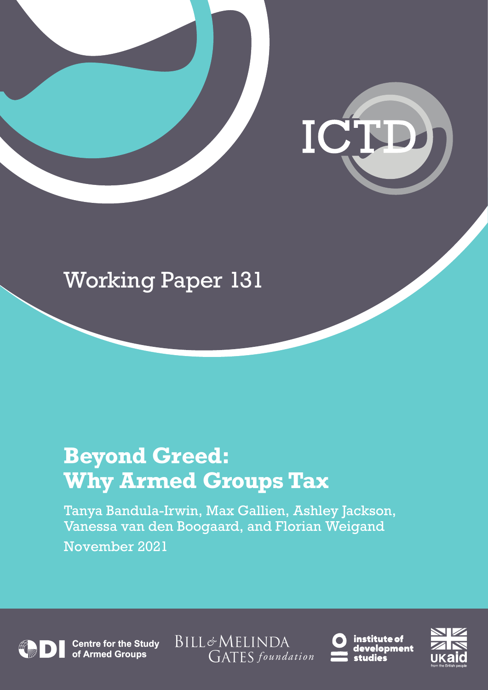

# Working Paper 131

# **Beyond Greed: Why Armed Groups Tax**

Tanya Bandula-Irwin, Max Gallien, Ashley Jackson, Vanessa van den Boogaard, and Florian Weigand November 2021

**Centre for the Study<br>of Armed Groups** 

BILL&MELINDA GATES foundation



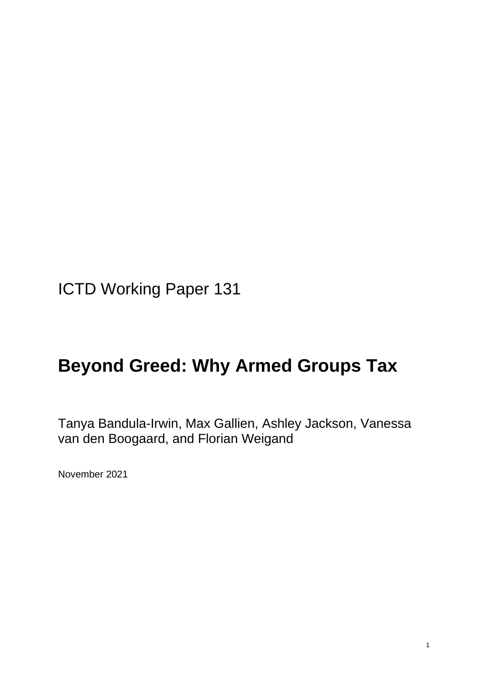ICTD Working Paper 131

### **Beyond Greed: Why Armed Groups Tax**

Tanya Bandula-Irwin, Max Gallien, Ashley Jackson, Vanessa van den Boogaard, and Florian Weigand

November 2021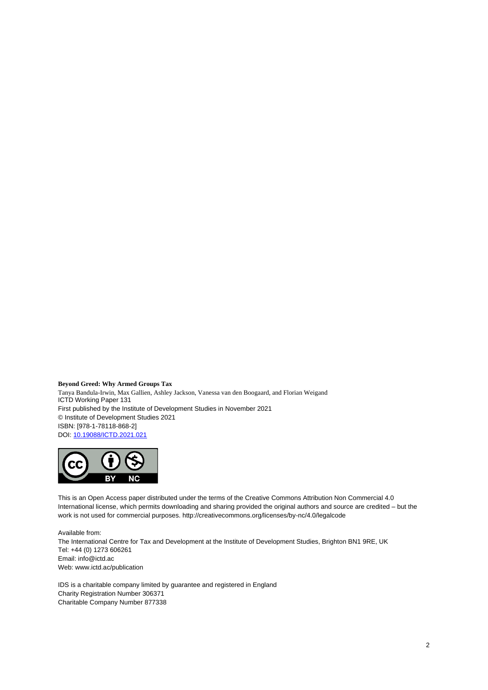**Beyond Greed: Why Armed Groups Tax** Tanya Bandula-Irwin, Max Gallien, Ashley Jackson, Vanessa van den Boogaard, and Florian Weigand ICTD Working Paper 131 First published by the Institute of Development Studies in November 2021 © Institute of Development Studies 2021 ISBN: [978-1-78118-868-2] DOI[: 10.19088/ICTD.2021.021](https://eur02.safelinks.protection.outlook.com/?url=https%3A%2F%2Fdoi.org%2F10.19088%2FICTD.2021.021&data=04%7C01%7CD.Szpotowicz%40ids.ac.uk%7C795359780f974839e38b08d98fc7d2c9%7Ce78be64af7754a2e9ec85e66e224b88f%7C0%7C0%7C637698910659130493%7CUnknown%7CTWFpbGZsb3d8eyJWIjoiMC4wLjAwMDAiLCJQIjoiV2luMzIiLCJBTiI6Ik1haWwiLCJXVCI6Mn0%3D%7C1000&sdata=qnKqnNCKKI24TTWNg3H3K8wERqahTKYktMUs5FYLKm4%3D&reserved=0)



This is an Open Access paper distributed under the terms of the Creative Commons Attribution Non Commercial 4.0 International license, which permits downloading and sharing provided the original authors and source are credited – but the work is not used for commercial purposes. http://creativecommons.org/licenses/by-nc/4.0/legalcode

Available from: The International Centre for Tax and Development at the Institute of Development Studies, Brighton BN1 9RE, UK Tel: +44 (0) 1273 606261 Email: info@ictd.ac Web: www.ictd.ac/publication

IDS is a charitable company limited by guarantee and registered in England Charity Registration Number 306371 Charitable Company Number 877338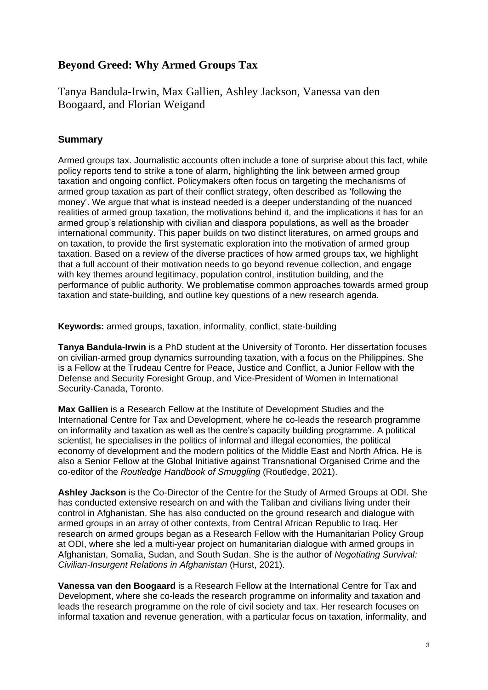#### **Beyond Greed: Why Armed Groups Tax**

Tanya Bandula-Irwin, Max Gallien, Ashley Jackson, Vanessa van den Boogaard, and Florian Weigand

#### **Summary**

Armed groups tax. Journalistic accounts often include a tone of surprise about this fact, while policy reports tend to strike a tone of alarm, highlighting the link between armed group taxation and ongoing conflict. Policymakers often focus on targeting the mechanisms of armed group taxation as part of their conflict strategy, often described as 'following the money'. We argue that what is instead needed is a deeper understanding of the nuanced realities of armed group taxation, the motivations behind it, and the implications it has for an armed group's relationship with civilian and diaspora populations, as well as the broader international community. This paper builds on two distinct literatures, on armed groups and on taxation, to provide the first systematic exploration into the motivation of armed group taxation. Based on a review of the diverse practices of how armed groups tax, we highlight that a full account of their motivation needs to go beyond revenue collection, and engage with key themes around legitimacy, population control, institution building, and the performance of public authority. We problematise common approaches towards armed group taxation and state-building, and outline key questions of a new research agenda.

**Keywords:** armed groups, taxation, informality, conflict, state-building

**Tanya Bandula-Irwin** is a PhD student at the University of Toronto. Her dissertation focuses on civilian-armed group dynamics surrounding taxation, with a focus on the Philippines. She is a Fellow at the Trudeau Centre for Peace, Justice and Conflict, a Junior Fellow with the Defense and Security Foresight Group, and Vice-President of Women in International Security-Canada, Toronto.

**Max Gallien** is a Research Fellow at the Institute of Development Studies and the International Centre for Tax and Development, where he co-leads the research programme on informality and taxation as well as the centre's capacity building programme. A political scientist, he specialises in the politics of informal and illegal economies, the political economy of development and the modern politics of the Middle East and North Africa. He is also a Senior Fellow at the Global Initiative against Transnational Organised Crime and the co-editor of the *Routledge Handbook of Smuggling* (Routledge, 2021).

**Ashley Jackson** is the Co-Director of the Centre for the Study of Armed Groups at ODI. She has conducted extensive research on and with the Taliban and civilians living under their control in Afghanistan. She has also conducted on the ground research and dialogue with armed groups in an array of other contexts, from Central African Republic to Iraq. Her research on armed groups began as a Research Fellow with the Humanitarian Policy Group at ODI, where she led a multi-year project on humanitarian dialogue with armed groups in Afghanistan, Somalia, Sudan, and South Sudan. She is the author of *Negotiating Survival: Civilian-Insurgent Relations in Afghanistan* (Hurst, 2021).

**Vanessa van den Boogaard** is a Research Fellow at the International Centre for Tax and Development, where she co-leads the research programme on informality and taxation and leads the research programme on the role of civil society and tax. Her research focuses on informal taxation and revenue generation, with a particular focus on taxation, informality, and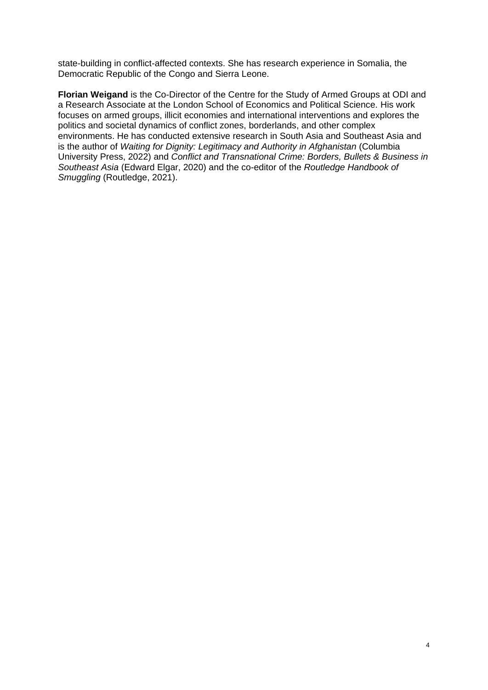state-building in conflict-affected contexts. She has research experience in Somalia, the Democratic Republic of the Congo and Sierra Leone.

**Florian Weigand** is the Co-Director of the Centre for the Study of Armed Groups at ODI and a Research Associate at the London School of Economics and Political Science. His work focuses on armed groups, illicit economies and international interventions and explores the politics and societal dynamics of conflict zones, borderlands, and other complex environments. He has conducted extensive research in South Asia and Southeast Asia and is the author of *Waiting for Dignity: Legitimacy and Authority in Afghanistan (Columbia* University Press, 2022) and *Conflict and Transnational Crime: Borders, Bullets & Business in Southeast Asia* (Edward Elgar, 2020) and the co-editor of the *Routledge Handbook of Smuggling* (Routledge, 2021).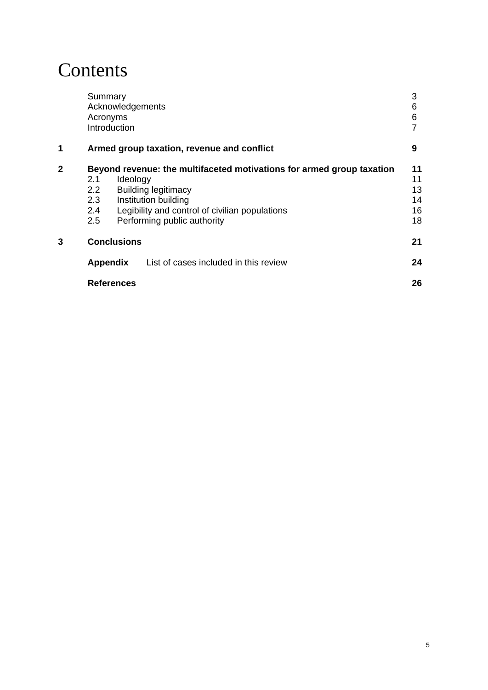### **Contents**

|              | Summary<br>Acknowledgements<br>Acronyms<br>Introduction                                                                                                                                                                                                                         |                                            | 3<br>6<br>6                      |
|--------------|---------------------------------------------------------------------------------------------------------------------------------------------------------------------------------------------------------------------------------------------------------------------------------|--------------------------------------------|----------------------------------|
| 1            |                                                                                                                                                                                                                                                                                 | Armed group taxation, revenue and conflict | 9                                |
| $\mathbf{2}$ | Beyond revenue: the multifaceted motivations for armed group taxation<br>Ideology<br>2.1<br><b>Building legitimacy</b><br>$2.2^{\circ}$<br>2.3<br>Institution building<br>Legibility and control of civilian populations<br>$2.4^{\circ}$<br>2.5<br>Performing public authority |                                            | 11<br>11<br>13<br>14<br>16<br>18 |
| 3            | <b>Conclusions</b>                                                                                                                                                                                                                                                              |                                            | 21                               |
|              | <b>Appendix</b>                                                                                                                                                                                                                                                                 | List of cases included in this review      | 24                               |
|              | <b>References</b>                                                                                                                                                                                                                                                               |                                            | 26                               |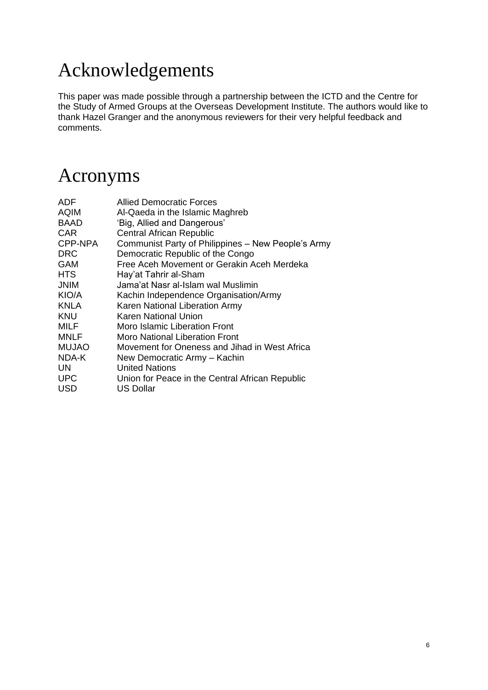## Acknowledgements

This paper was made possible through a partnership between the ICTD and the Centre for the Study of Armed Groups at the Overseas Development Institute. The authors would like to thank Hazel Granger and the anonymous reviewers for their very helpful feedback and comments.

### Acronyms

| ADF          | Allied Democratic Forces                           |
|--------------|----------------------------------------------------|
| <b>AQIM</b>  | Al-Qaeda in the Islamic Maghreb                    |
| <b>BAAD</b>  | 'Big, Allied and Dangerous'                        |
| CAR          | Central African Republic                           |
| CPP-NPA      | Communist Party of Philippines – New People's Army |
| <b>DRC</b>   | Democratic Republic of the Congo                   |
| <b>GAM</b>   | Free Aceh Movement or Gerakin Aceh Merdeka         |
| <b>HTS</b>   | Hay'at Tahrir al-Sham                              |
| <b>JNIM</b>  | Jama'at Nasr al-Islam wal Muslimin.                |
| KIO/A        | Kachin Independence Organisation/Army              |
| <b>KNLA</b>  | Karen National Liberation Army                     |
| <b>KNU</b>   | Karen National Union                               |
| MILF         | Moro Islamic Liberation Front                      |
| <b>MNLF</b>  | Moro National Liberation Front                     |
| <b>MUJAO</b> | Movement for Oneness and Jihad in West Africa      |
| NDA-K        | New Democratic Army - Kachin                       |
| UN.          | <b>United Nations</b>                              |
| <b>UPC</b>   | Union for Peace in the Central African Republic    |
| <b>USD</b>   | US Dollar                                          |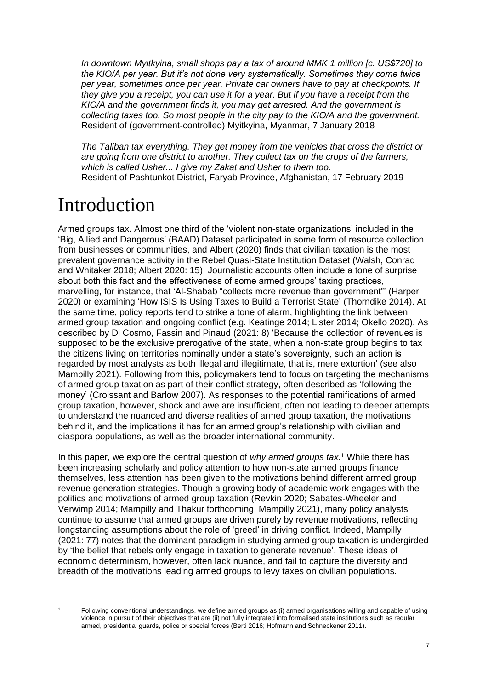*In downtown Myitkyina, small shops pay a tax of around MMK 1 million [c. US\$720] to the KIO/A per year. But it's not done very systematically. Sometimes they come twice per year, sometimes once per year. Private car owners have to pay at checkpoints. If they give you a receipt, you can use it for a year. But if you have a receipt from the KIO/A and the government finds it, you may get arrested. And the government is collecting taxes too. So most people in the city pay to the KIO/A and the government.* Resident of (government-controlled) Myitkyina, Myanmar, 7 January 2018

*The Taliban tax everything. They get money from the vehicles that cross the district or are going from one district to another. They collect tax on the crops of the farmers, which is called Usher... I give my Zakat and Usher to them too.* Resident of Pashtunkot District, Faryab Province, Afghanistan, 17 February 2019

### Introduction

Armed groups tax. Almost one third of the 'violent non-state organizations' included in the 'Big, Allied and Dangerous' (BAAD) Dataset participated in some form of resource collection from businesses or communities, and Albert (2020) finds that civilian taxation is the most prevalent governance activity in the Rebel Quasi-State Institution Dataset (Walsh, Conrad and Whitaker 2018; Albert 2020: 15). Journalistic accounts often include a tone of surprise about both this fact and the effectiveness of some armed groups' taxing practices, marvelling, for instance, that 'Al-Shabab "collects more revenue than government"' (Harper 2020) or examining 'How ISIS Is Using Taxes to Build a Terrorist State' (Thorndike 2014). At the same time, policy reports tend to strike a tone of alarm, highlighting the link between armed group taxation and ongoing conflict (e.g. Keatinge 2014; Lister 2014; Okello 2020). As described by Di Cosmo, Fassin and Pinaud (2021: 8) 'Because the collection of revenues is supposed to be the exclusive prerogative of the state, when a non-state group begins to tax the citizens living on territories nominally under a state's sovereignty, such an action is regarded by most analysts as both illegal and illegitimate, that is, mere extortion' (see also Mampilly 2021). Following from this, policymakers tend to focus on targeting the mechanisms of armed group taxation as part of their conflict strategy, often described as 'following the money' (Croissant and Barlow 2007). As responses to the potential ramifications of armed group taxation, however, shock and awe are insufficient, often not leading to deeper attempts to understand the nuanced and diverse realities of armed group taxation, the motivations behind it, and the implications it has for an armed group's relationship with civilian and diaspora populations, as well as the broader international community.

In this paper, we explore the central question of *why armed groups tax.*<sup>1</sup> While there has been increasing scholarly and policy attention to how non-state armed groups finance themselves, less attention has been given to the motivations behind different armed group revenue generation strategies. Though a growing body of academic work engages with the politics and motivations of armed group taxation (Revkin 2020; Sabates-Wheeler and Verwimp 2014; Mampilly and Thakur forthcoming; Mampilly 2021), many policy analysts continue to assume that armed groups are driven purely by revenue motivations, reflecting longstanding assumptions about the role of 'greed' in driving conflict. Indeed, Mampilly (2021: 77) notes that the dominant paradigm in studying armed group taxation is undergirded by 'the belief that rebels only engage in taxation to generate revenue'. These ideas of economic determinism, however, often lack nuance, and fail to capture the diversity and breadth of the motivations leading armed groups to levy taxes on civilian populations.

<sup>1</sup> Following conventional understandings, we define armed groups as (i) armed organisations willing and capable of using violence in pursuit of their objectives that are (ii) not fully integrated into formalised state institutions such as regular armed, presidential guards, police or special forces (Berti 2016; Hofmann and Schneckener 2011).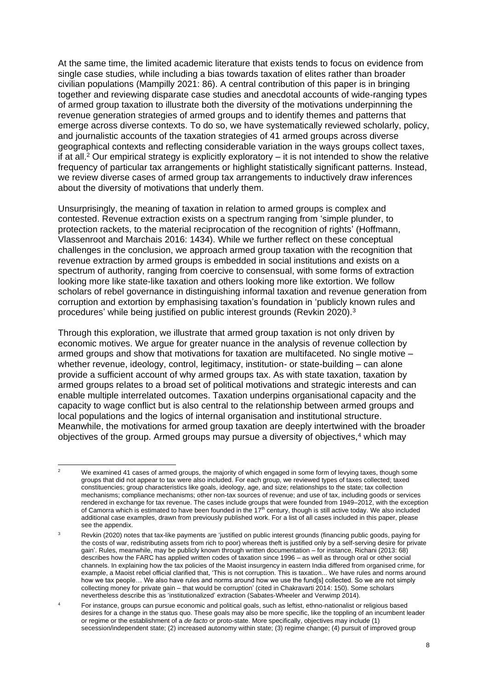At the same time, the limited academic literature that exists tends to focus on evidence from single case studies, while including a bias towards taxation of elites rather than broader civilian populations (Mampilly 2021: 86). A central contribution of this paper is in bringing together and reviewing disparate case studies and anecdotal accounts of wide-ranging types of armed group taxation to illustrate both the diversity of the motivations underpinning the revenue generation strategies of armed groups and to identify themes and patterns that emerge across diverse contexts. To do so, we have systematically reviewed scholarly, policy, and journalistic accounts of the taxation strategies of 41 armed groups across diverse geographical contexts and reflecting considerable variation in the ways groups collect taxes, if at all.<sup>2</sup> Our empirical strategy is explicitly exploratory – it is not intended to show the relative frequency of particular tax arrangements or highlight statistically significant patterns. Instead, we review diverse cases of armed group tax arrangements to inductively draw inferences about the diversity of motivations that underly them.

Unsurprisingly, the meaning of taxation in relation to armed groups is complex and contested. Revenue extraction exists on a spectrum ranging from 'simple plunder, to protection rackets, to the material reciprocation of the recognition of rights' (Hoffmann, Vlassenroot and Marchais 2016: 1434). While we further reflect on these conceptual challenges in the conclusion, we approach armed group taxation with the recognition that revenue extraction by armed groups is embedded in social institutions and exists on a spectrum of authority, ranging from coercive to consensual, with some forms of extraction looking more like state-like taxation and others looking more like extortion. We follow scholars of rebel governance in distinguishing informal taxation and revenue generation from corruption and extortion by emphasising taxation's foundation in 'publicly known rules and procedures' while being justified on public interest grounds (Revkin 2020).<sup>3</sup>

Through this exploration, we illustrate that armed group taxation is not only driven by economic motives. We argue for greater nuance in the analysis of revenue collection by armed groups and show that motivations for taxation are multifaceted. No single motive – whether revenue, ideology, control, legitimacy, institution- or state-building – can alone provide a sufficient account of why armed groups tax. As with state taxation, taxation by armed groups relates to a broad set of political motivations and strategic interests and can enable multiple interrelated outcomes. Taxation underpins organisational capacity and the capacity to wage conflict but is also central to the relationship between armed groups and local populations and the logics of internal organisation and institutional structure. Meanwhile, the motivations for armed group taxation are deeply intertwined with the broader objectives of the group. Armed groups may pursue a diversity of objectives,<sup>4</sup> which may

We examined 41 cases of armed groups, the majority of which engaged in some form of levying taxes, though some groups that did not appear to tax were also included. For each group, we reviewed types of taxes collected; taxed constituencies; group characteristics like goals, ideology, age, and size; relationships to the state; tax collection mechanisms; compliance mechanisms; other non-tax sources of revenue; and use of tax, including goods or services rendered in exchange for tax revenue. The cases include groups that were founded from 1949–2012, with the exception of Camorra which is estimated to have been founded in the 17<sup>th</sup> century, though is still active today. We also included additional case examples, drawn from previously published work. For a list of all cases included in this paper, please see the appendix.

Revkin (2020) notes that tax-like payments are 'justified on public interest grounds (financing public goods, paying for the costs of war, redistributing assets from rich to poor) whereas theft is justified only by a self-serving desire for private gain'. Rules, meanwhile, may be publicly known through written documentation – for instance, Richani (2013: 68) describes how the FARC has applied written codes of taxation since 1996 – as well as through oral or other social channels. In explaining how the tax policies of the Maoist insurgency in eastern India differed from organised crime, for example, a Maoist rebel official clarified that, 'This is not corruption. This is taxation... We have rules and norms around how we tax people… We also have rules and norms around how we use the fund[s] collected. So we are not simply collecting money for private gain – that would be corruption' (cited in Chakravarti 2014: 150). Some scholars nevertheless describe this as 'institutionalized' extraction (Sabates-Wheeler and Verwimp 2014).

<sup>4</sup> For instance, groups can pursue economic and political goals, such as leftist, ethno-nationalist or religious based desires for a change in the status quo. These goals may also be more specific, like the toppling of an incumbent leader or regime or the establishment of a *de facto* or proto-state. More specifically, objectives may include (1) secession/independent state; (2) increased autonomy within state; (3) regime change; (4) pursuit of improved group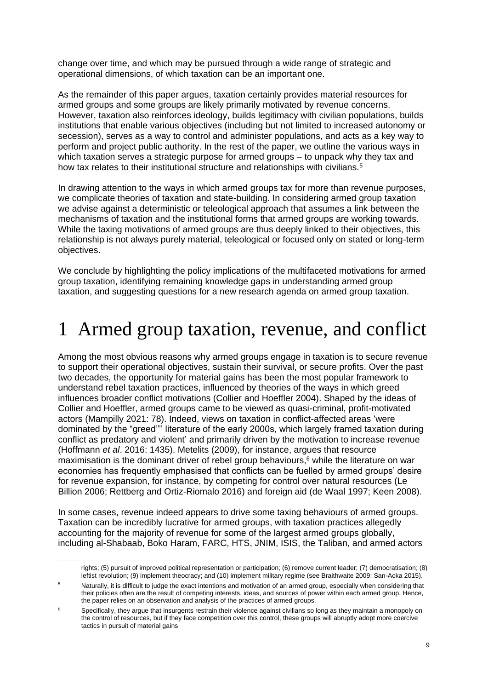change over time, and which may be pursued through a wide range of strategic and operational dimensions, of which taxation can be an important one.

As the remainder of this paper argues, taxation certainly provides material resources for armed groups and some groups are likely primarily motivated by revenue concerns. However, taxation also reinforces ideology, builds legitimacy with civilian populations, builds institutions that enable various objectives (including but not limited to increased autonomy or secession), serves as a way to control and administer populations, and acts as a key way to perform and project public authority. In the rest of the paper, we outline the various ways in which taxation serves a strategic purpose for armed groups – to unpack why they tax and how tax relates to their institutional structure and relationships with civilians.<sup>5</sup>

In drawing attention to the ways in which armed groups tax for more than revenue purposes, we complicate theories of taxation and state-building. In considering armed group taxation we advise against a deterministic or teleological approach that assumes a link between the mechanisms of taxation and the institutional forms that armed groups are working towards. While the taxing motivations of armed groups are thus deeply linked to their objectives, this relationship is not always purely material, teleological or focused only on stated or long-term objectives.

We conclude by highlighting the policy implications of the multifaceted motivations for armed group taxation, identifying remaining knowledge gaps in understanding armed group taxation, and suggesting questions for a new research agenda on armed group taxation.

### 1 Armed group taxation, revenue, and conflict

Among the most obvious reasons why armed groups engage in taxation is to secure revenue to support their operational objectives, sustain their survival, or secure profits. Over the past two decades, the opportunity for material gains has been the most popular framework to understand rebel taxation practices, influenced by theories of the ways in which greed influences broader conflict motivations (Collier and Hoeffler 2004). Shaped by the ideas of Collier and Hoeffler, armed groups came to be viewed as quasi-criminal, profit-motivated actors (Mampilly 2021: 78). Indeed, views on taxation in conflict-affected areas 'were dominated by the "greed'"' literature of the early 2000s, which largely framed taxation during conflict as predatory and violent' and primarily driven by the motivation to increase revenue (Hoffmann *et al*. 2016: 1435). Metelits (2009), for instance, argues that resource maximisation is the dominant driver of rebel group behaviours, $6$  while the literature on war economies has frequently emphasised that conflicts can be fuelled by armed groups' desire for revenue expansion, for instance, by competing for control over natural resources (Le Billion 2006; Rettberg and Ortiz-Riomalo 2016) and foreign aid (de Waal 1997; Keen 2008).

In some cases, revenue indeed appears to drive some taxing behaviours of armed groups. Taxation can be incredibly lucrative for armed groups, with taxation practices allegedly accounting for the majority of revenue for some of the largest armed groups globally, including al-Shabaab, Boko Haram, FARC, HTS, JNIM, ISIS, the Taliban, and armed actors

rights; (5) pursuit of improved political representation or participation; (6) remove current leader; (7) democratisation; (8) leftist revolution; (9) implement theocracy; and (10) implement military regime (see Braithwaite 2009; San-Acka 2015).

Naturally, it is difficult to judge the exact intentions and motivation of an armed group, especially when considering that their policies often are the result of competing interests, ideas, and sources of power within each armed group. Hence, the paper relies on an observation and analysis of the practices of armed groups.

<sup>&</sup>lt;sup>6</sup> Specifically, they argue that insurgents restrain their violence against civilians so long as they maintain a monopoly on the control of resources, but if they face competition over this control, these groups will abruptly adopt more coercive tactics in pursuit of material gains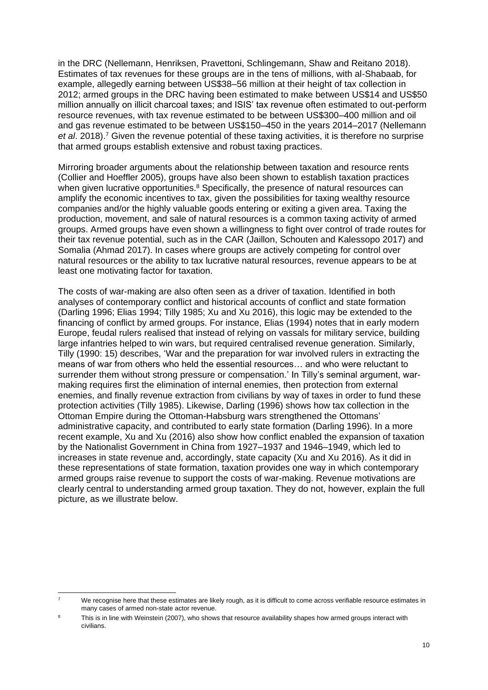in the DRC (Nellemann, Henriksen, Pravettoni, Schlingemann, Shaw and Reitano 2018). Estimates of tax revenues for these groups are in the tens of millions, with al-Shabaab, for example, allegedly earning between US\$38–56 million at their height of tax collection in 2012; armed groups in the DRC having been estimated to make between US\$14 and US\$50 million annually on illicit charcoal taxes; and ISIS' tax revenue often estimated to out-perform resource revenues, with tax revenue estimated to be between US\$300–400 million and oil and gas revenue estimated to be between US\$150–450 in the years 2014–2017 (Nellemann *et al*. 2018).<sup>7</sup> Given the revenue potential of these taxing activities, it is therefore no surprise that armed groups establish extensive and robust taxing practices.

Mirroring broader arguments about the relationship between taxation and resource rents (Collier and Hoeffler 2005), groups have also been shown to establish taxation practices when given lucrative opportunities.<sup>8</sup> Specifically, the presence of natural resources can amplify the economic incentives to tax, given the possibilities for taxing wealthy resource companies and/or the highly valuable goods entering or exiting a given area. Taxing the production, movement, and sale of natural resources is a common taxing activity of armed groups. Armed groups have even shown a willingness to fight over control of trade routes for their tax revenue potential, such as in the CAR (Jaillon, Schouten and Kalessopo 2017) and Somalia (Ahmad 2017). In cases where groups are actively competing for control over natural resources or the ability to tax lucrative natural resources, revenue appears to be at least one motivating factor for taxation.

The costs of war-making are also often seen as a driver of taxation. Identified in both analyses of contemporary conflict and historical accounts of conflict and state formation (Darling 1996; Elias 1994; Tilly 1985; Xu and Xu 2016), this logic may be extended to the financing of conflict by armed groups. For instance, Elias (1994) notes that in early modern Europe, feudal rulers realised that instead of relying on vassals for military service, building large infantries helped to win wars, but required centralised revenue generation. Similarly, Tilly (1990: 15) describes, 'War and the preparation for war involved rulers in extracting the means of war from others who held the essential resources… and who were reluctant to surrender them without strong pressure or compensation.' In Tilly's seminal argument, warmaking requires first the elimination of internal enemies, then protection from external enemies, and finally revenue extraction from civilians by way of taxes in order to fund these protection activities (Tilly 1985). Likewise, Darling (1996) shows how tax collection in the Ottoman Empire during the Ottoman-Habsburg wars strengthened the Ottomans' administrative capacity, and contributed to early state formation (Darling 1996). In a more recent example, Xu and Xu (2016) also show how conflict enabled the expansion of taxation by the Nationalist Government in China from 1927–1937 and 1946–1949, which led to increases in state revenue and, accordingly, state capacity (Xu and Xu 2016). As it did in these representations of state formation, taxation provides one way in which contemporary armed groups raise revenue to support the costs of war-making. Revenue motivations are clearly central to understanding armed group taxation. They do not, however, explain the full picture, as we illustrate below.

<sup>&</sup>lt;sup>7</sup> We recognise here that these estimates are likely rough, as it is difficult to come across verifiable resource estimates in many cases of armed non-state actor revenue.

This is in line with Weinstein (2007), who shows that resource availability shapes how armed groups interact with civilians.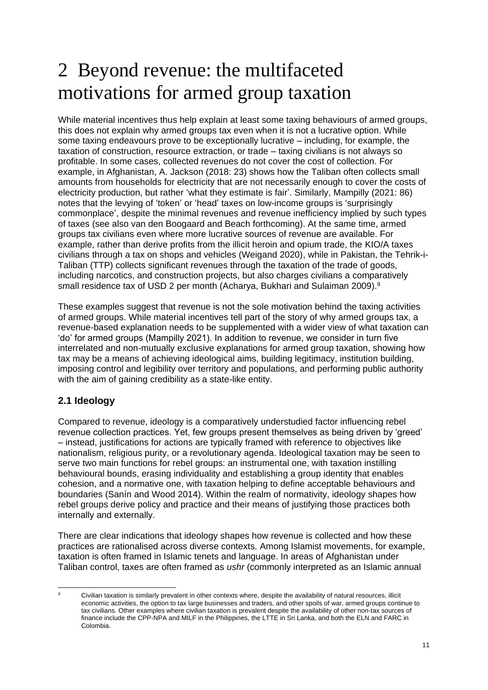### 2 Beyond revenue: the multifaceted motivations for armed group taxation

While material incentives thus help explain at least some taxing behaviours of armed groups, this does not explain why armed groups tax even when it is not a lucrative option. While some taxing endeavours prove to be exceptionally lucrative – including, for example, the taxation of construction, resource extraction, or trade – taxing civilians is not always so profitable. In some cases, collected revenues do not cover the cost of collection. For example, in Afghanistan, A. Jackson (2018: 23) shows how the Taliban often collects small amounts from households for electricity that are not necessarily enough to cover the costs of electricity production, but rather 'what they estimate is fair'. Similarly, Mampilly (2021: 86) notes that the levying of 'token' or 'head' taxes on low-income groups is 'surprisingly commonplace', despite the minimal revenues and revenue inefficiency implied by such types of taxes (see also van den Boogaard and Beach forthcoming). At the same time, armed groups tax civilians even where more lucrative sources of revenue are available. For example, rather than derive profits from the illicit heroin and opium trade, the KIO/A taxes civilians through a tax on shops and vehicles (Weigand 2020), while in Pakistan, the Tehrik-i-Taliban (TTP) collects significant revenues through the taxation of the trade of goods, including narcotics, and construction projects, but also charges civilians a comparatively small residence tax of USD 2 per month (Acharya, Bukhari and Sulaiman 2009).<sup>9</sup>

These examples suggest that revenue is not the sole motivation behind the taxing activities of armed groups. While material incentives tell part of the story of why armed groups tax, a revenue-based explanation needs to be supplemented with a wider view of what taxation can 'do' for armed groups (Mampilly 2021). In addition to revenue, we consider in turn five interrelated and non-mutually exclusive explanations for armed group taxation, showing how tax may be a means of achieving ideological aims, building legitimacy, institution building, imposing control and legibility over territory and populations, and performing public authority with the aim of gaining credibility as a state-like entity.

#### **2.1 Ideology**

Compared to revenue, ideology is a comparatively understudied factor influencing rebel revenue collection practices. Yet, few groups present themselves as being driven by 'greed' – instead, justifications for actions are typically framed with reference to objectives like nationalism, religious purity, or a revolutionary agenda. Ideological taxation may be seen to serve two main functions for rebel groups: an instrumental one, with taxation instilling behavioural bounds, erasing individuality and establishing a group identity that enables cohesion, and a normative one, with taxation helping to define acceptable behaviours and boundaries (Sanín and Wood 2014). Within the realm of normativity, ideology shapes how rebel groups derive policy and practice and their means of justifying those practices both internally and externally.

There are clear indications that ideology shapes how revenue is collected and how these practices are rationalised across diverse contexts. Among Islamist movements, for example, taxation is often framed in Islamic tenets and language. In areas of Afghanistan under Taliban control, taxes are often framed as *ushr* (commonly interpreted as an Islamic annual

Civilian taxation is similarly prevalent in other contexts where, despite the availability of natural resources, illicit economic activities, the option to tax large businesses and traders, and other spoils of war, armed groups continue to tax civilians. Other examples where civilian taxation is prevalent despite the availability of other non-tax sources of finance include the CPP-NPA and MILF in the Philippines, the LTTE in Sri Lanka, and both the ELN and FARC in Colombia.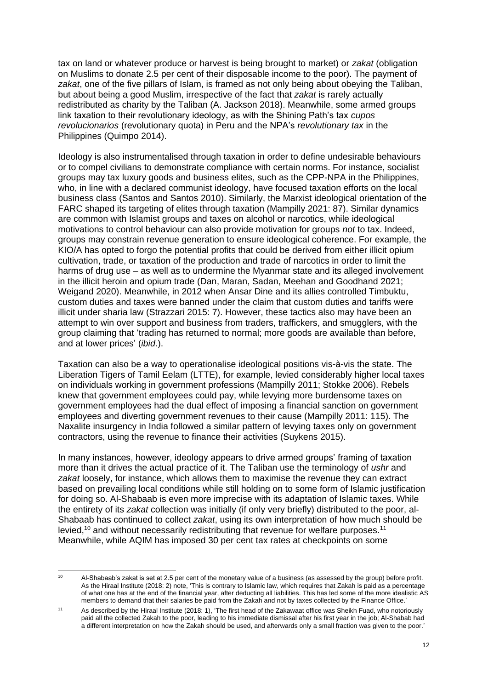tax on land or whatever produce or harvest is being brought to market) or *zakat* (obligation on Muslims to donate 2.5 per cent of their disposable income to the poor). The payment of *zakat*, one of the five pillars of Islam, is framed as not only being about obeying the Taliban, but about being a good Muslim, irrespective of the fact that *zakat* is rarely actually redistributed as charity by the Taliban (A. Jackson 2018). Meanwhile, some armed groups link taxation to their revolutionary ideology, as with the Shining Path's tax *cupos revolucionarios* (revolutionary quota) in Peru and the NPA's *revolutionary tax* in the Philippines (Quimpo 2014).

Ideology is also instrumentalised through taxation in order to define undesirable behaviours or to compel civilians to demonstrate compliance with certain norms. For instance, socialist groups may tax luxury goods and business elites, such as the CPP-NPA in the Philippines, who, in line with a declared communist ideology, have focused taxation efforts on the local business class (Santos and Santos 2010). Similarly, the Marxist ideological orientation of the FARC shaped its targeting of elites through taxation (Mampilly 2021: 87). Similar dynamics are common with Islamist groups and taxes on alcohol or narcotics, while ideological motivations to control behaviour can also provide motivation for groups *not* to tax. Indeed, groups may constrain revenue generation to ensure ideological coherence. For example, the KIO/A has opted to forgo the potential profits that could be derived from either illicit opium cultivation, trade, or taxation of the production and trade of narcotics in order to limit the harms of drug use – as well as to undermine the Myanmar state and its alleged involvement in the illicit heroin and opium trade (Dan, Maran, Sadan, Meehan and Goodhand 2021; Weigand 2020). Meanwhile, in 2012 when Ansar Dine and its allies controlled Timbuktu, custom duties and taxes were banned under the claim that custom duties and tariffs were illicit under sharia law (Strazzari 2015: 7). However, these tactics also may have been an attempt to win over support and business from traders, traffickers, and smugglers, with the group claiming that 'trading has returned to normal; more goods are available than before, and at lower prices' (*ibid*.).

Taxation can also be a way to operationalise ideological positions vis-à-vis the state. The Liberation Tigers of Tamil Eelam (LTTE), for example, levied considerably higher local taxes on individuals working in government professions (Mampilly 2011; Stokke 2006). Rebels knew that government employees could pay, while levying more burdensome taxes on government employees had the dual effect of imposing a financial sanction on government employees and diverting government revenues to their cause (Mampilly 2011: 115). The Naxalite insurgency in India followed a similar pattern of levying taxes only on government contractors, using the revenue to finance their activities (Suykens 2015).

In many instances, however, ideology appears to drive armed groups' framing of taxation more than it drives the actual practice of it. The Taliban use the terminology of *ushr* and *zakat* loosely, for instance, which allows them to maximise the revenue they can extract based on prevailing local conditions while still holding on to some form of Islamic justification for doing so. Al-Shabaab is even more imprecise with its adaptation of Islamic taxes. While the entirety of its *zakat* collection was initially (if only very briefly) distributed to the poor, al-Shabaab has continued to collect *zakat*, using its own interpretation of how much should be levied,<sup>10</sup> and without necessarily redistributing that revenue for welfare purposes.<sup>11</sup> Meanwhile, while AQIM has imposed 30 per cent tax rates at checkpoints on some

<sup>&</sup>lt;sup>10</sup> Al-Shabaab's zakat is set at 2.5 per cent of the monetary value of a business (as assessed by the group) before profit. As the Hiraal Institute (2018: 2) note, 'This is contrary to Islamic law, which requires that Zakah is paid as a percentage of what one has at the end of the financial year, after deducting all liabilities. This has led some of the more idealistic AS members to demand that their salaries be paid from the Zakah and not by taxes collected by the Finance Office.'

<sup>11</sup> As described by the Hiraal Institute (2018: 1), 'The first head of the Zakawaat office was Sheikh Fuad, who notoriously paid all the collected Zakah to the poor, leading to his immediate dismissal after his first year in the job; Al-Shabab had a different interpretation on how the Zakah should be used, and afterwards only a small fraction was given to the poor.'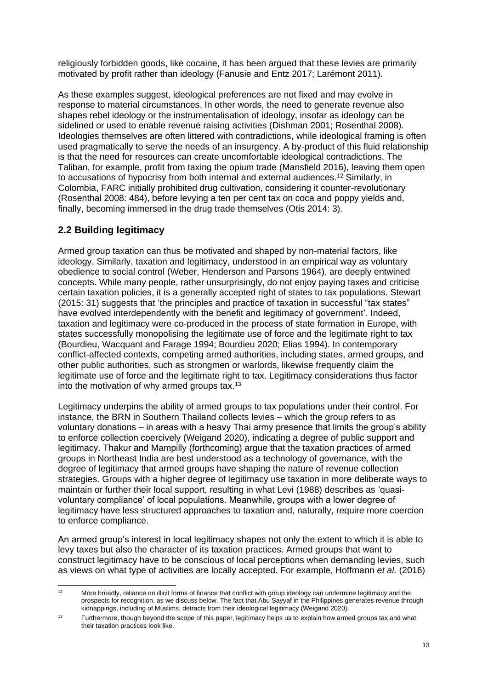religiously forbidden goods, like cocaine, it has been argued that these levies are primarily motivated by profit rather than ideology (Fanusie and Entz 2017; Larémont 2011).

As these examples suggest, ideological preferences are not fixed and may evolve in response to material circumstances. In other words, the need to generate revenue also shapes rebel ideology or the instrumentalisation of ideology, insofar as ideology can be sidelined or used to enable revenue raising activities (Dishman 2001; Rosenthal 2008). Ideologies themselves are often littered with contradictions, while ideological framing is often used pragmatically to serve the needs of an insurgency. A by-product of this fluid relationship is that the need for resources can create uncomfortable ideological contradictions. The Taliban, for example, profit from taxing the opium trade (Mansfield 2016), leaving them open to accusations of hypocrisy from both internal and external audiences.<sup>12</sup> Similarly, in Colombia, FARC initially prohibited drug cultivation, considering it counter-revolutionary (Rosenthal 2008: 484), before levying a ten per cent tax on coca and poppy yields and, finally, becoming immersed in the drug trade themselves (Otis 2014: 3).

#### **2.2 Building legitimacy**

Armed group taxation can thus be motivated and shaped by non-material factors, like ideology. Similarly, taxation and legitimacy, understood in an empirical way as voluntary obedience to social control (Weber, Henderson and Parsons 1964), are deeply entwined concepts. While many people, rather unsurprisingly, do not enjoy paying taxes and criticise certain taxation policies, it is a generally accepted right of states to tax populations. Stewart (2015: 31) suggests that 'the principles and practice of taxation in successful "tax states" have evolved interdependently with the benefit and legitimacy of government'. Indeed, taxation and legitimacy were co-produced in the process of state formation in Europe, with states successfully monopolising the legitimate use of force and the legitimate right to tax (Bourdieu, Wacquant and Farage 1994; Bourdieu 2020; Elias 1994). In contemporary conflict-affected contexts, competing armed authorities, including states, armed groups, and other public authorities, such as strongmen or warlords, likewise frequently claim the legitimate use of force and the legitimate right to tax. Legitimacy considerations thus factor into the motivation of why armed groups tax.<sup>13</sup>

Legitimacy underpins the ability of armed groups to tax populations under their control. For instance, the BRN in Southern Thailand collects levies – which the group refers to as voluntary donations – in areas with a heavy Thai army presence that limits the group's ability to enforce collection coercively (Weigand 2020), indicating a degree of public support and legitimacy. Thakur and Mampilly (forthcoming) argue that the taxation practices of armed groups in Northeast India are best understood as a technology of governance, with the degree of legitimacy that armed groups have shaping the nature of revenue collection strategies. Groups with a higher degree of legitimacy use taxation in more deliberate ways to maintain or further their local support, resulting in what Levi (1988) describes as 'quasivoluntary compliance' of local populations. Meanwhile, groups with a lower degree of legitimacy have less structured approaches to taxation and, naturally, require more coercion to enforce compliance.

An armed group's interest in local legitimacy shapes not only the extent to which it is able to levy taxes but also the character of its taxation practices. Armed groups that want to construct legitimacy have to be conscious of local perceptions when demanding levies, such as views on what type of activities are locally accepted. For example, Hoffmann *et al.* (2016)

<sup>&</sup>lt;sup>12</sup> More broadly, reliance on illicit forms of finance that conflict with group ideology can undermine legitimacy and the prospects for recognition, as we discuss below. The fact that Abu Sayyaf in the Philippines generates revenue through kidnappings, including of Muslims, detracts from their ideological legitimacy (Weigand 2020).

<sup>&</sup>lt;sup>13</sup> Furthermore, though beyond the scope of this paper, legitimacy helps us to explain how armed groups tax and what their taxation practices look like.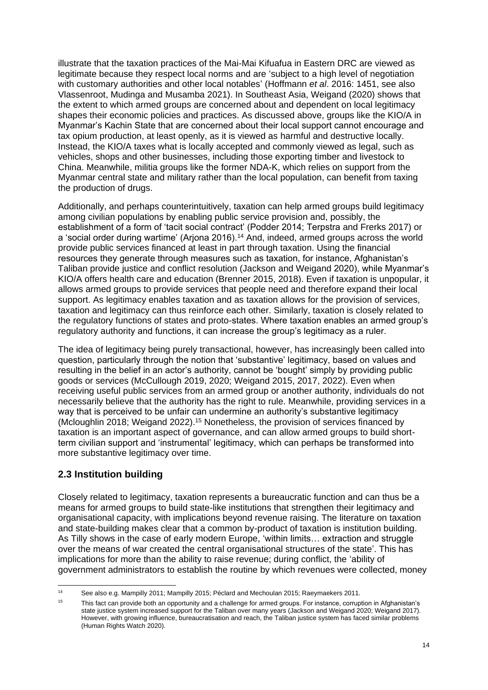illustrate that the taxation practices of the Mai-Mai Kifuafua in Eastern DRC are viewed as legitimate because they respect local norms and are 'subject to a high level of negotiation with customary authorities and other local notables' (Hoffmann *et al*. 2016: 1451, see also Vlassenroot, Mudinga and Musamba 2021). In Southeast Asia, Weigand (2020) shows that the extent to which armed groups are concerned about and dependent on local legitimacy shapes their economic policies and practices. As discussed above, groups like the KIO/A in Myanmar's Kachin State that are concerned about their local support cannot encourage and tax opium production, at least openly, as it is viewed as harmful and destructive locally. Instead, the KIO/A taxes what is locally accepted and commonly viewed as legal, such as vehicles, shops and other businesses, including those exporting timber and livestock to China. Meanwhile, militia groups like the former NDA-K, which relies on support from the Myanmar central state and military rather than the local population, can benefit from taxing the production of drugs.

Additionally, and perhaps counterintuitively, taxation can help armed groups build legitimacy among civilian populations by enabling public service provision and, possibly, the establishment of a form of 'tacit social contract' (Podder 2014; Terpstra and Frerks 2017) or a 'social order during wartime' (Arjona 2016).<sup>14</sup> And, indeed, armed groups across the world provide public services financed at least in part through taxation. Using the financial resources they generate through measures such as taxation, for instance, Afghanistan's Taliban provide justice and conflict resolution (Jackson and Weigand 2020), while Myanmar's KIO/A offers health care and education (Brenner 2015, 2018). Even if taxation is unpopular, it allows armed groups to provide services that people need and therefore expand their local support. As legitimacy enables taxation and as taxation allows for the provision of services, taxation and legitimacy can thus reinforce each other. Similarly, taxation is closely related to the regulatory functions of states and proto-states. Where taxation enables an armed group's regulatory authority and functions, it can increase the group's legitimacy as a ruler.

The idea of legitimacy being purely transactional, however, has increasingly been called into question, particularly through the notion that 'substantive' legitimacy, based on values and resulting in the belief in an actor's authority, cannot be 'bought' simply by providing public goods or services (McCullough 2019, 2020; Weigand 2015, 2017, 2022). Even when receiving useful public services from an armed group or another authority, individuals do not necessarily believe that the authority has the right to rule. Meanwhile, providing services in a way that is perceived to be unfair can undermine an authority's substantive legitimacy (Mcloughlin 2018; Weigand 2022).<sup>15</sup> Nonetheless, the provision of services financed by taxation is an important aspect of governance, and can allow armed groups to build shortterm civilian support and 'instrumental' legitimacy, which can perhaps be transformed into more substantive legitimacy over time.

#### **2.3 Institution building**

Closely related to legitimacy, taxation represents a bureaucratic function and can thus be a means for armed groups to build state-like institutions that strengthen their legitimacy and organisational capacity, with implications beyond revenue raising. The literature on taxation and state-building makes clear that a common by-product of taxation is institution building. As Tilly shows in the case of early modern Europe, 'within limits… extraction and struggle over the means of war created the central organisational structures of the state'. This has implications for more than the ability to raise revenue; during conflict, the 'ability of government administrators to establish the routine by which revenues were collected, money

<sup>14</sup> See also e.g. Mampilly 2011; Mampilly 2015; Péclard and Mechoulan 2015; Raeymaekers 2011.

<sup>&</sup>lt;sup>15</sup> This fact can provide both an opportunity and a challenge for armed groups. For instance, corruption in Afghanistan's state justice system increased support for the Taliban over many years (Jackson and Weigand 2020; Weigand 2017). However, with growing influence, bureaucratisation and reach, the Taliban justice system has faced similar problems (Human Rights Watch 2020).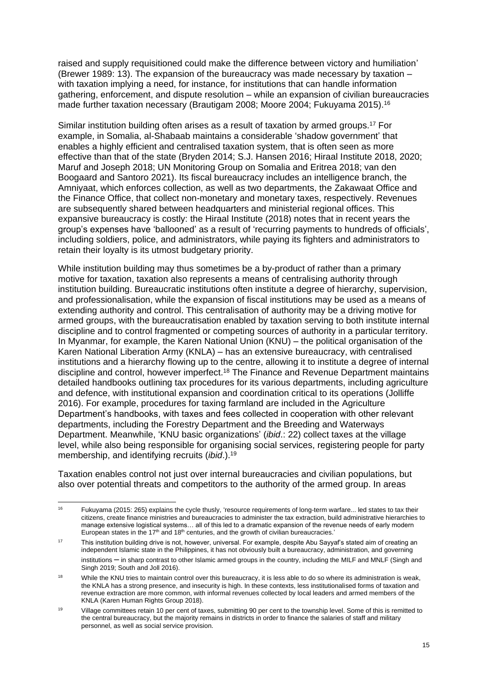raised and supply requisitioned could make the difference between victory and humiliation' (Brewer 1989: 13). The expansion of the bureaucracy was made necessary by taxation – with taxation implying a need, for instance, for institutions that can handle information gathering, enforcement, and dispute resolution – while an expansion of civilian bureaucracies made further taxation necessary (Brautigam 2008; Moore 2004; Fukuyama 2015).<sup>16</sup>

Similar institution building often arises as a result of taxation by armed groups.<sup>17</sup> For example, in Somalia, al-Shabaab maintains a considerable 'shadow government' that enables a highly efficient and centralised taxation system, that is often seen as more effective than that of the state (Bryden 2014; S.J. Hansen 2016; Hiraal Institute 2018, 2020; Maruf and Joseph 2018; UN Monitoring Group on Somalia and Eritrea 2018; van den Boogaard and Santoro 2021). Its fiscal bureaucracy includes an intelligence branch, the Amniyaat, which enforces collection, as well as two departments, the Zakawaat Office and the Finance Office, that collect non-monetary and monetary taxes, respectively. Revenues are subsequently shared between headquarters and ministerial regional offices. This expansive bureaucracy is costly: the Hiraal Institute (2018) notes that in recent years the group's expenses have 'ballooned' as a result of 'recurring payments to hundreds of officials', including soldiers, police, and administrators, while paying its fighters and administrators to retain their loyalty is its utmost budgetary priority.

While institution building may thus sometimes be a by-product of rather than a primary motive for taxation, taxation also represents a means of centralising authority through institution building. Bureaucratic institutions often institute a degree of hierarchy, supervision, and professionalisation, while the expansion of fiscal institutions may be used as a means of extending authority and control. This centralisation of authority may be a driving motive for armed groups, with the bureaucratisation enabled by taxation serving to both institute internal discipline and to control fragmented or competing sources of authority in a particular territory. In Myanmar, for example, the Karen National Union (KNU) – the political organisation of the Karen National Liberation Army (KNLA) – has an extensive bureaucracy, with centralised institutions and a hierarchy flowing up to the centre, allowing it to institute a degree of internal discipline and control, however imperfect.<sup>18</sup> The Finance and Revenue Department maintains detailed handbooks outlining tax procedures for its various departments, including agriculture and defence, with institutional expansion and coordination critical to its operations (Jolliffe 2016). For example, procedures for taxing farmland are included in the Agriculture Department's handbooks, with taxes and fees collected in cooperation with other relevant departments, including the Forestry Department and the Breeding and Waterways Department. Meanwhile, 'KNU basic organizations' (*ibid*.: 22) collect taxes at the village level, while also being responsible for organising social services, registering people for party membership, and identifying recruits (*ibid*.).<sup>19</sup>

Taxation enables control not just over internal bureaucracies and civilian populations, but also over potential threats and competitors to the authority of the armed group. In areas

<sup>&</sup>lt;sup>16</sup> Fukuyama (2015: 265) explains the cycle thusly, 'resource requirements of long-term warfare... led states to tax their citizens, create finance ministries and bureaucracies to administer the tax extraction, build administrative hierarchies to manage extensive logistical systems… all of this led to a dramatic expansion of the revenue needs of early modern European states in the 17<sup>th</sup> and 18<sup>th</sup> centuries, and the growth of civilian bureaucracies.'

<sup>&</sup>lt;sup>17</sup> This institution building drive is not, however, universal. For example, despite Abu Sayyaf's stated aim of creating an independent Islamic state in the Philippines, it has not obviously built a bureaucracy, administration, and governing institutions – in sharp contrast to other Islamic armed groups in the country, including the MILF and MNLF (Singh and Singh 2019; South and Joll 2016).

<sup>&</sup>lt;sup>18</sup> While the KNU tries to maintain control over this bureaucracy, it is less able to do so where its administration is weak, the KNLA has a strong presence, and insecurity is high. In these contexts, less institutionalised forms of taxation and revenue extraction are more common, with informal revenues collected by local leaders and armed members of the KNLA (Karen Human Rights Group 2018).

<sup>&</sup>lt;sup>19</sup> Village committees retain 10 per cent of taxes, submitting 90 per cent to the township level. Some of this is remitted to the central bureaucracy, but the majority remains in districts in order to finance the salaries of staff and military personnel, as well as social service provision.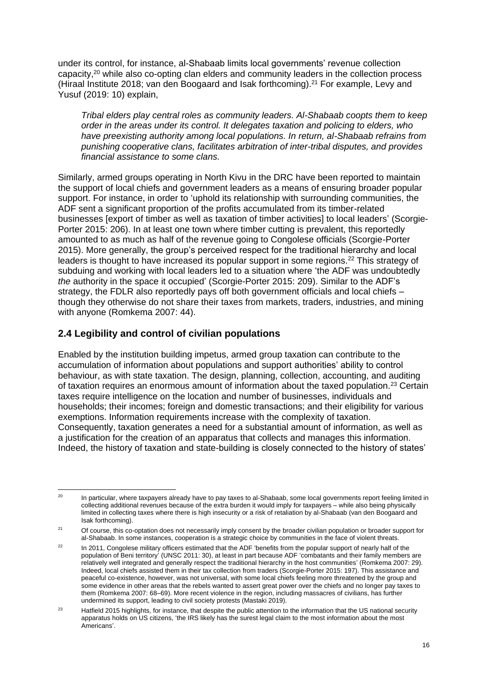under its control, for instance, al-Shabaab limits local governments' revenue collection capacity,<sup>20</sup> while also co-opting clan elders and community leaders in the collection process (Hiraal Institute 2018; van den Boogaard and Isak forthcoming).<sup>21</sup> For example, Levy and Yusuf (2019: 10) explain,

*Tribal elders play central roles as community leaders. Al-Shabaab coopts them to keep order in the areas under its control. It delegates taxation and policing to elders, who have preexisting authority among local populations. In return, al-Shabaab refrains from punishing cooperative clans, facilitates arbitration of inter-tribal disputes, and provides financial assistance to some clans.*

Similarly, armed groups operating in North Kivu in the DRC have been reported to maintain the support of local chiefs and government leaders as a means of ensuring broader popular support. For instance, in order to 'uphold its relationship with surrounding communities, the ADF sent a significant proportion of the profits accumulated from its timber-related businesses [export of timber as well as taxation of timber activities] to local leaders' (Scorgie-Porter 2015: 206). In at least one town where timber cutting is prevalent, this reportedly amounted to as much as half of the revenue going to Congolese officials (Scorgie-Porter 2015). More generally, the group's perceived respect for the traditional hierarchy and local leaders is thought to have increased its popular support in some regions.<sup>22</sup> This strategy of subduing and working with local leaders led to a situation where 'the ADF was undoubtedly *the* authority in the space it occupied' (Scorgie-Porter 2015: 209). Similar to the ADF's strategy, the FDLR also reportedly pays off both government officials and local chiefs – though they otherwise do not share their taxes from markets, traders, industries, and mining with anyone (Romkema 2007: 44).

#### **2.4 Legibility and control of civilian populations**

Enabled by the institution building impetus, armed group taxation can contribute to the accumulation of information about populations and support authorities' ability to control behaviour, as with state taxation. The design, planning, collection, accounting, and auditing of taxation requires an enormous amount of information about the taxed population.<sup>23</sup> Certain taxes require intelligence on the location and number of businesses, individuals and households; their incomes; foreign and domestic transactions; and their eligibility for various exemptions. Information requirements increase with the complexity of taxation. Consequently, taxation generates a need for a substantial amount of information, as well as a justification for the creation of an apparatus that collects and manages this information. Indeed, the history of taxation and state-building is closely connected to the history of states'

<sup>&</sup>lt;sup>20</sup> In particular, where taxpayers already have to pay taxes to al-Shabaab, some local governments report feeling limited in collecting additional revenues because of the extra burden it would imply for taxpayers – while also being physically limited in collecting taxes where there is high insecurity or a risk of retaliation by al-Shabaab (van den Boogaard and Isak forthcoming).

<sup>&</sup>lt;sup>21</sup> Of course, this co-optation does not necessarily imply consent by the broader civilian population or broader support for al-Shabaab. In some instances, cooperation is a strategic choice by communities in the face of violent threats.

<sup>&</sup>lt;sup>22</sup> In 2011, Congolese military officers estimated that the ADF 'benefits from the popular support of nearly half of the population of Beni territory' (UNSC 2011: 30), at least in part because ADF 'combatants and their family members are relatively well integrated and generally respect the traditional hierarchy in the host communities' (Romkema 2007: 29). Indeed, local chiefs assisted them in their tax collection from traders (Scorgie-Porter 2015: 197). This assistance and peaceful co-existence, however, was not universal, with some local chiefs feeling more threatened by the group and some evidence in other areas that the rebels wanted to assert great power over the chiefs and no longer pay taxes to them (Romkema 2007: 68–69). More recent violence in the region, including massacres of civilians, has further undermined its support, leading to civil society protests (Mastaki 2019).

<sup>&</sup>lt;sup>23</sup> Hatfield 2015 highlights, for instance, that despite the public attention to the information that the US national security apparatus holds on US citizens, 'the IRS likely has the surest legal claim to the most information about the most Americans'.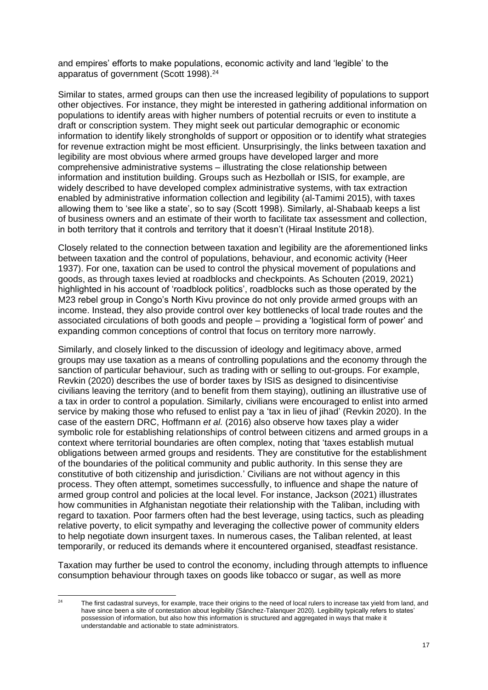and empires' efforts to make populations, economic activity and land 'legible' to the apparatus of government (Scott 1998). 24

Similar to states, armed groups can then use the increased legibility of populations to support other objectives. For instance, they might be interested in gathering additional information on populations to identify areas with higher numbers of potential recruits or even to institute a draft or conscription system. They might seek out particular demographic or economic information to identify likely strongholds of support or opposition or to identify what strategies for revenue extraction might be most efficient. Unsurprisingly, the links between taxation and legibility are most obvious where armed groups have developed larger and more comprehensive administrative systems – illustrating the close relationship between information and institution building. Groups such as Hezbollah or ISIS, for example, are widely described to have developed complex administrative systems, with tax extraction enabled by administrative information collection and legibility (al-Tamimi 2015), with taxes allowing them to 'see like a state', so to say (Scott 1998). Similarly, al-Shabaab keeps a list of business owners and an estimate of their worth to facilitate tax assessment and collection, in both territory that it controls and territory that it doesn't (Hiraal Institute 2018).

Closely related to the connection between taxation and legibility are the aforementioned links between taxation and the control of populations, behaviour, and economic activity (Heer 1937). For one, taxation can be used to control the physical movement of populations and goods, as through taxes levied at roadblocks and checkpoints. As Schouten (2019, 2021) highlighted in his account of 'roadblock politics', roadblocks such as those operated by the M23 rebel group in Congo's North Kivu province do not only provide armed groups with an income. Instead, they also provide control over key bottlenecks of local trade routes and the associated circulations of both goods and people – providing a 'logistical form of power' and expanding common conceptions of control that focus on territory more narrowly.

Similarly, and closely linked to the discussion of ideology and legitimacy above, armed groups may use taxation as a means of controlling populations and the economy through the sanction of particular behaviour, such as trading with or selling to out-groups. For example, Revkin (2020) describes the use of border taxes by ISIS as designed to disincentivise civilians leaving the territory (and to benefit from them staying), outlining an illustrative use of a tax in order to control a population. Similarly, civilians were encouraged to enlist into armed service by making those who refused to enlist pay a 'tax in lieu of jihad' (Revkin 2020). In the case of the eastern DRC, Hoffmann *et al.* (2016) also observe how taxes play a wider symbolic role for establishing relationships of control between citizens and armed groups in a context where territorial boundaries are often complex, noting that 'taxes establish mutual obligations between armed groups and residents. They are constitutive for the establishment of the boundaries of the political community and public authority. In this sense they are constitutive of both citizenship and jurisdiction.' Civilians are not without agency in this process. They often attempt, sometimes successfully, to influence and shape the nature of armed group control and policies at the local level. For instance, Jackson (2021) illustrates how communities in Afghanistan negotiate their relationship with the Taliban, including with regard to taxation. Poor farmers often had the best leverage, using tactics, such as pleading relative poverty, to elicit sympathy and leveraging the collective power of community elders to help negotiate down insurgent taxes. In numerous cases, the Taliban relented, at least temporarily, or reduced its demands where it encountered organised, steadfast resistance.

Taxation may further be used to control the economy, including through attempts to influence consumption behaviour through taxes on goods like tobacco or sugar, as well as more

<sup>&</sup>lt;sup>24</sup> The first cadastral surveys, for example, trace their origins to the need of local rulers to increase tax yield from land, and have since been a site of contestation about legibility (Sánchez-Talanquer 2020). Legibility typically refers to states' possession of information, but also how this information is structured and aggregated in ways that make it understandable and actionable to state administrators.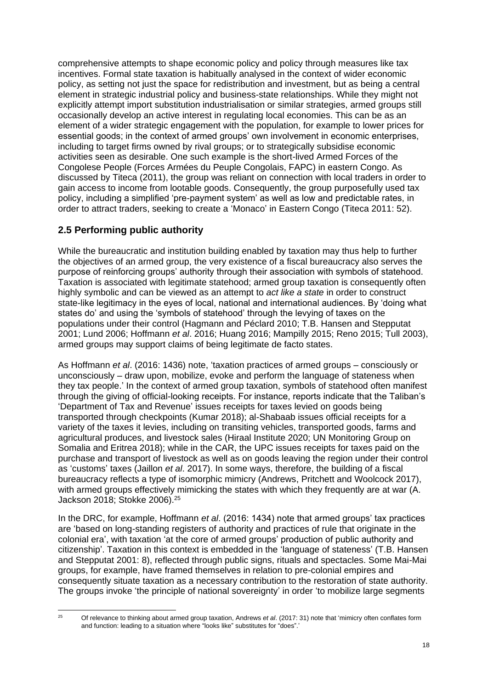comprehensive attempts to shape economic policy and policy through measures like tax incentives. Formal state taxation is habitually analysed in the context of wider economic policy, as setting not just the space for redistribution and investment, but as being a central element in strategic industrial policy and business-state relationships. While they might not explicitly attempt import substitution industrialisation or similar strategies, armed groups still occasionally develop an active interest in regulating local economies. This can be as an element of a wider strategic engagement with the population, for example to lower prices for essential goods; in the context of armed groups' own involvement in economic enterprises, including to target firms owned by rival groups; or to strategically subsidise economic activities seen as desirable. One such example is the short-lived Armed Forces of the Congolese People (Forces Armées du Peuple Congolais, FAPC) in eastern Congo. As discussed by Titeca (2011), the group was reliant on connection with local traders in order to gain access to income from lootable goods. Consequently, the group purposefully used tax policy, including a simplified 'pre-payment system' as well as low and predictable rates, in order to attract traders, seeking to create a 'Monaco' in Eastern Congo (Titeca 2011: 52).

#### **2.5 Performing public authority**

While the bureaucratic and institution building enabled by taxation may thus help to further the objectives of an armed group, the very existence of a fiscal bureaucracy also serves the purpose of reinforcing groups' authority through their association with symbols of statehood. Taxation is associated with legitimate statehood; armed group taxation is consequently often highly symbolic and can be viewed as an attempt to *act like a state* in order to construct state-like legitimacy in the eyes of local, national and international audiences. By 'doing what states do' and using the 'symbols of statehood' through the levying of taxes on the populations under their control (Hagmann and Péclard 2010; T.B. Hansen and Stepputat 2001; Lund 2006; Hoffmann *et al*. 2016; Huang 2016; Mampilly 2015; Reno 2015; Tull 2003), armed groups may support claims of being legitimate de facto states.

As Hoffmann *et al*. (2016: 1436) note, 'taxation practices of armed groups – consciously or unconsciously – draw upon, mobilize, evoke and perform the language of stateness when they tax people.' In the context of armed group taxation, symbols of statehood often manifest through the giving of official-looking receipts. For instance, reports indicate that the Taliban's 'Department of Tax and Revenue' issues receipts for taxes levied on goods being transported through checkpoints (Kumar 2018); al-Shabaab issues official receipts for a variety of the taxes it levies, including on transiting vehicles, transported goods, farms and agricultural produces, and livestock sales (Hiraal Institute 2020; UN Monitoring Group on Somalia and Eritrea 2018); while in the CAR, the UPC issues receipts for taxes paid on the purchase and transport of livestock as well as on goods leaving the region under their control as 'customs' taxes (Jaillon *et al*. 2017). In some ways, therefore, the building of a fiscal bureaucracy reflects a type of isomorphic mimicry (Andrews, Pritchett and Woolcock 2017), with armed groups effectively mimicking the states with which they frequently are at war (A. Jackson 2018; Stokke 2006).<sup>25</sup>

In the DRC, for example, Hoffmann *et al*. (2016: 1434) note that armed groups' tax practices are 'based on long-standing registers of authority and practices of rule that originate in the colonial era', with taxation 'at the core of armed groups' production of public authority and citizenship'. Taxation in this context is embedded in the 'language of stateness' (T.B. Hansen and Stepputat 2001: 8), reflected through public signs, rituals and spectacles. Some Mai-Mai groups, for example, have framed themselves in relation to pre-colonial empires and consequently situate taxation as a necessary contribution to the restoration of state authority. The groups invoke 'the principle of national sovereignty' in order 'to mobilize large segments

<sup>25</sup> Of relevance to thinking about armed group taxation, Andrews *et al*. (2017: 31) note that 'mimicry often conflates form and function: leading to a situation where "looks like" substitutes for "does".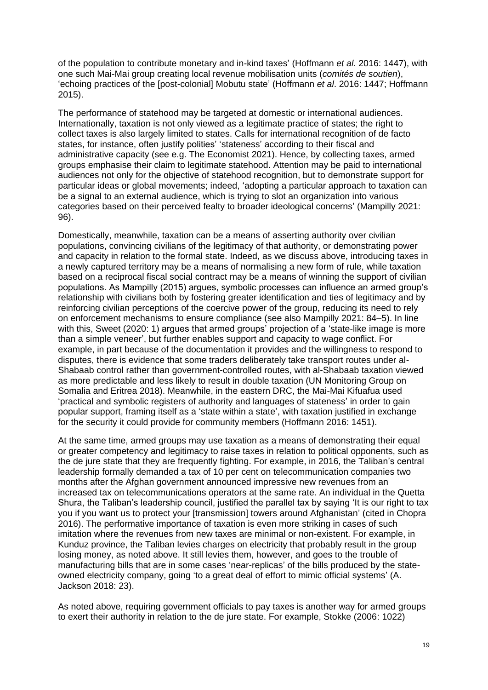of the population to contribute monetary and in-kind taxes' (Hoffmann *et al*. 2016: 1447), with one such Mai-Mai group creating local revenue mobilisation units (*comités de soutien*), 'echoing practices of the [post-colonial] Mobutu state' (Hoffmann *et al*. 2016: 1447; Hoffmann 2015).

The performance of statehood may be targeted at domestic or international audiences. Internationally, taxation is not only viewed as a legitimate practice of states; the right to collect taxes is also largely limited to states. Calls for international recognition of de facto states, for instance, often justify polities' 'stateness' according to their fiscal and administrative capacity (see e.g. The Economist 2021). Hence, by collecting taxes, armed groups emphasise their claim to legitimate statehood. Attention may be paid to international audiences not only for the objective of statehood recognition, but to demonstrate support for particular ideas or global movements; indeed, 'adopting a particular approach to taxation can be a signal to an external audience, which is trying to slot an organization into various categories based on their perceived fealty to broader ideological concerns' (Mampilly 2021: 96).

Domestically, meanwhile, taxation can be a means of asserting authority over civilian populations, convincing civilians of the legitimacy of that authority, or demonstrating power and capacity in relation to the formal state. Indeed, as we discuss above, introducing taxes in a newly captured territory may be a means of normalising a new form of rule, while taxation based on a reciprocal fiscal social contract may be a means of winning the support of civilian populations. As Mampilly (2015) argues, symbolic processes can influence an armed group's relationship with civilians both by fostering greater identification and ties of legitimacy and by reinforcing civilian perceptions of the coercive power of the group, reducing its need to rely on enforcement mechanisms to ensure compliance (see also Mampilly 2021: 84–5). In line with this, Sweet (2020: 1) argues that armed groups' projection of a 'state-like image is more than a simple veneer', but further enables support and capacity to wage conflict. For example, in part because of the documentation it provides and the willingness to respond to disputes, there is evidence that some traders deliberately take transport routes under al-Shabaab control rather than government-controlled routes, with al-Shabaab taxation viewed as more predictable and less likely to result in double taxation (UN Monitoring Group on Somalia and Eritrea 2018). Meanwhile, in the eastern DRC, the Mai-Mai Kifuafua used 'practical and symbolic registers of authority and languages of stateness' in order to gain popular support, framing itself as a 'state within a state', with taxation justified in exchange for the security it could provide for community members (Hoffmann 2016: 1451).

At the same time, armed groups may use taxation as a means of demonstrating their equal or greater competency and legitimacy to raise taxes in relation to political opponents, such as the de jure state that they are frequently fighting. For example, in 2016, the Taliban's central leadership formally demanded a tax of 10 per cent on telecommunication companies two months after the Afghan government announced impressive new revenues from an increased tax on telecommunications operators at the same rate. An individual in the Quetta Shura, the Taliban's leadership council, justified the parallel tax by saying 'It is our right to tax you if you want us to protect your [transmission] towers around Afghanistan' (cited in Chopra 2016). The performative importance of taxation is even more striking in cases of such imitation where the revenues from new taxes are minimal or non-existent. For example, in Kunduz province, the Taliban levies charges on electricity that probably result in the group losing money, as noted above. It still levies them, however, and goes to the trouble of manufacturing bills that are in some cases 'near-replicas' of the bills produced by the stateowned electricity company, going 'to a great deal of effort to mimic official systems' (A. Jackson 2018: 23).

As noted above, requiring government officials to pay taxes is another way for armed groups to exert their authority in relation to the de jure state. For example, Stokke (2006: 1022)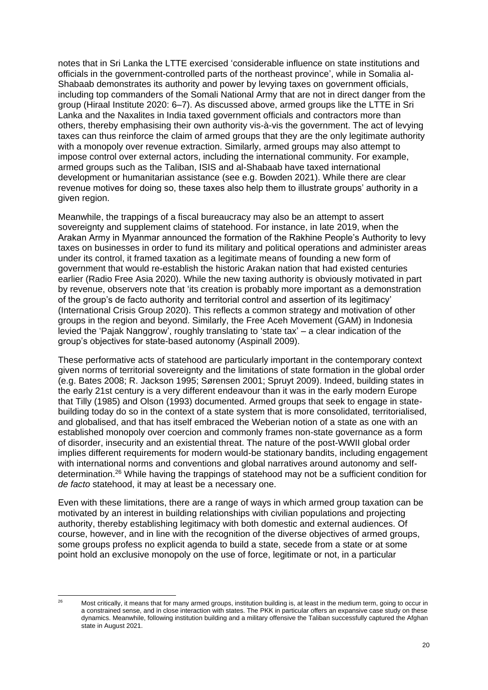notes that in Sri Lanka the LTTE exercised 'considerable influence on state institutions and officials in the government-controlled parts of the northeast province', while in Somalia al-Shabaab demonstrates its authority and power by levying taxes on government officials, including top commanders of the Somali National Army that are not in direct danger from the group (Hiraal Institute 2020: 6–7). As discussed above, armed groups like the LTTE in Sri Lanka and the Naxalites in India taxed government officials and contractors more than others, thereby emphasising their own authority vis-à-vis the government. The act of levying taxes can thus reinforce the claim of armed groups that they are the only legitimate authority with a monopoly over revenue extraction. Similarly, armed groups may also attempt to impose control over external actors, including the international community. For example, armed groups such as the Taliban, ISIS and al-Shabaab have taxed international development or humanitarian assistance (see e.g. Bowden 2021). While there are clear revenue motives for doing so, these taxes also help them to illustrate groups' authority in a given region.

Meanwhile, the trappings of a fiscal bureaucracy may also be an attempt to assert sovereignty and supplement claims of statehood. For instance, in late 2019, when the Arakan Army in Myanmar announced the formation of the Rakhine People's Authority to levy taxes on businesses in order to fund its military and political operations and administer areas under its control, it framed taxation as a legitimate means of founding a new form of government that would re-establish the historic Arakan nation that had existed centuries earlier (Radio Free Asia 2020). While the new taxing authority is obviously motivated in part by revenue, observers note that 'its creation is probably more important as a demonstration of the group's de facto authority and territorial control and assertion of its legitimacy' (International Crisis Group 2020). This reflects a common strategy and motivation of other groups in the region and beyond. Similarly, the Free Aceh Movement (GAM) in Indonesia levied the 'Pajak Nanggrow', roughly translating to 'state tax' – a clear indication of the group's objectives for state-based autonomy (Aspinall 2009).

These performative acts of statehood are particularly important in the contemporary context given norms of territorial sovereignty and the limitations of state formation in the global order (e.g. Bates 2008; R. Jackson 1995; Sørensen 2001; Spruyt 2009). Indeed, building states in the early 21st century is a very different endeavour than it was in the early modern Europe that Tilly (1985) and Olson (1993) documented. Armed groups that seek to engage in statebuilding today do so in the context of a state system that is more consolidated, territorialised, and globalised, and that has itself embraced the Weberian notion of a state as one with an established monopoly over coercion and commonly frames non-state governance as a form of disorder, insecurity and an existential threat. The nature of the post-WWII global order implies different requirements for modern would-be stationary bandits, including engagement with international norms and conventions and global narratives around autonomy and selfdetermination.<sup>26</sup> While having the trappings of statehood may not be a sufficient condition for *de facto* statehood, it may at least be a necessary one.

Even with these limitations, there are a range of ways in which armed group taxation can be motivated by an interest in building relationships with civilian populations and projecting authority, thereby establishing legitimacy with both domestic and external audiences. Of course, however, and in line with the recognition of the diverse objectives of armed groups, some groups profess no explicit agenda to build a state, secede from a state or at some point hold an exclusive monopoly on the use of force, legitimate or not, in a particular

<sup>&</sup>lt;sup>26</sup> Most critically, it means that for many armed groups, institution building is, at least in the medium term, going to occur in a constrained sense, and in close interaction with states. The PKK in particular offers an expansive case study on these dynamics. Meanwhile, following institution building and a military offensive the Taliban successfully captured the Afghan state in August 2021.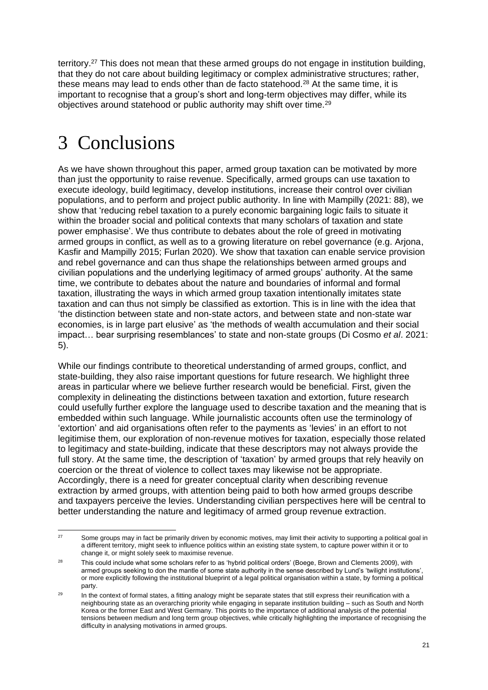territory.<sup>27</sup> This does not mean that these armed groups do not engage in institution building. that they do not care about building legitimacy or complex administrative structures; rather, these means may lead to ends other than de facto statehood.<sup>28</sup> At the same time, it is important to recognise that a group's short and long-term objectives may differ, while its objectives around statehood or public authority may shift over time.<sup>29</sup>

## 3 Conclusions

As we have shown throughout this paper, armed group taxation can be motivated by more than just the opportunity to raise revenue. Specifically, armed groups can use taxation to execute ideology, build legitimacy, develop institutions, increase their control over civilian populations, and to perform and project public authority. In line with Mampilly (2021: 88), we show that 'reducing rebel taxation to a purely economic bargaining logic fails to situate it within the broader social and political contexts that many scholars of taxation and state power emphasise'. We thus contribute to debates about the role of greed in motivating armed groups in conflict, as well as to a growing literature on rebel governance (e.g. Arjona, Kasfir and Mampilly 2015; Furlan 2020). We show that taxation can enable service provision and rebel governance and can thus shape the relationships between armed groups and civilian populations and the underlying legitimacy of armed groups' authority. At the same time, we contribute to debates about the nature and boundaries of informal and formal taxation, illustrating the ways in which armed group taxation intentionally imitates state taxation and can thus not simply be classified as extortion. This is in line with the idea that 'the distinction between state and non-state actors, and between state and non-state war economies, is in large part elusive' as 'the methods of wealth accumulation and their social impact… bear surprising resemblances' to state and non-state groups (Di Cosmo *et al*. 2021: 5).

While our findings contribute to theoretical understanding of armed groups, conflict, and state-building, they also raise important questions for future research. We highlight three areas in particular where we believe further research would be beneficial. First, given the complexity in delineating the distinctions between taxation and extortion, future research could usefully further explore the language used to describe taxation and the meaning that is embedded within such language. While journalistic accounts often use the terminology of 'extortion' and aid organisations often refer to the payments as 'levies' in an effort to not legitimise them, our exploration of non-revenue motives for taxation, especially those related to legitimacy and state-building, indicate that these descriptors may not always provide the full story. At the same time, the description of 'taxation' by armed groups that rely heavily on coercion or the threat of violence to collect taxes may likewise not be appropriate. Accordingly, there is a need for greater conceptual clarity when describing revenue extraction by armed groups, with attention being paid to both how armed groups describe and taxpayers perceive the levies. Understanding civilian perspectives here will be central to better understanding the nature and legitimacy of armed group revenue extraction.

<sup>&</sup>lt;sup>27</sup> Some groups may in fact be primarily driven by economic motives, may limit their activity to supporting a political goal in a different territory, might seek to influence politics within an existing state system, to capture power within it or to change it, or might solely seek to maximise revenue.

<sup>&</sup>lt;sup>28</sup> This could include what some scholars refer to as 'hybrid political orders' (Boege, Brown and Clements 2009), with armed groups seeking to don the mantle of some state authority in the sense described by Lund's 'twilight institutions', or more explicitly following the institutional blueprint of a legal political organisation within a state, by forming a political party.

<sup>&</sup>lt;sup>29</sup> In the context of formal states, a fitting analogy might be separate states that still express their reunification with a neighbouring state as an overarching priority while engaging in separate institution building – such as South and North Korea or the former East and West Germany. This points to the importance of additional analysis of the potential tensions between medium and long term group objectives, while critically highlighting the importance of recognising the difficulty in analysing motivations in armed groups.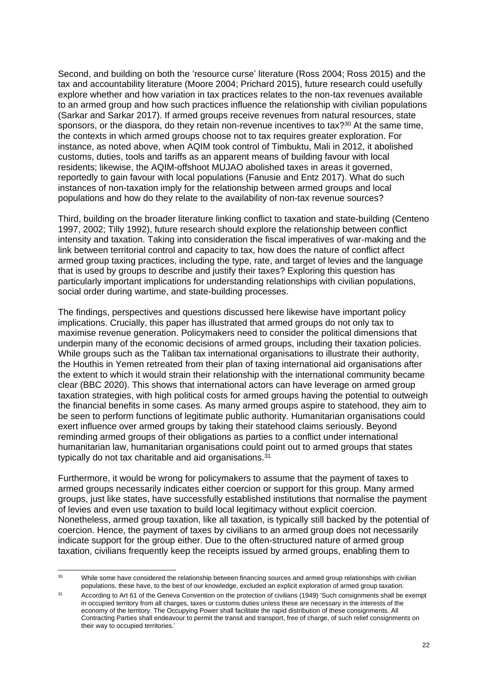Second, and building on both the 'resource curse' literature (Ross 2004; Ross 2015) and the tax and accountability literature (Moore 2004; Prichard 2015), future research could usefully explore whether and how variation in tax practices relates to the non-tax revenues available to an armed group and how such practices influence the relationship with civilian populations (Sarkar and Sarkar 2017). If armed groups receive revenues from natural resources, state sponsors, or the diaspora, do they retain non-revenue incentives to tax?<sup>30</sup> At the same time. the contexts in which armed groups choose not to tax requires greater exploration. For instance, as noted above, when AQIM took control of Timbuktu, Mali in 2012, it abolished customs, duties, tools and tariffs as an apparent means of building favour with local residents; likewise, the AQIM-offshoot MUJAO abolished taxes in areas it governed, reportedly to gain favour with local populations (Fanusie and Entz 2017). What do such instances of non-taxation imply for the relationship between armed groups and local populations and how do they relate to the availability of non-tax revenue sources?

Third, building on the broader literature linking conflict to taxation and state-building (Centeno 1997, 2002; Tilly 1992), future research should explore the relationship between conflict intensity and taxation. Taking into consideration the fiscal imperatives of war-making and the link between territorial control and capacity to tax, how does the nature of conflict affect armed group taxing practices, including the type, rate, and target of levies and the language that is used by groups to describe and justify their taxes? Exploring this question has particularly important implications for understanding relationships with civilian populations, social order during wartime, and state-building processes.

The findings, perspectives and questions discussed here likewise have important policy implications. Crucially, this paper has illustrated that armed groups do not only tax to maximise revenue generation. Policymakers need to consider the political dimensions that underpin many of the economic decisions of armed groups, including their taxation policies. While groups such as the Taliban tax international organisations to illustrate their authority, the Houthis in Yemen retreated from their plan of taxing international aid organisations after the extent to which it would strain their relationship with the international community became clear (BBC 2020). This shows that international actors can have leverage on armed group taxation strategies, with high political costs for armed groups having the potential to outweigh the financial benefits in some cases. As many armed groups aspire to statehood, they aim to be seen to perform functions of legitimate public authority. Humanitarian organisations could exert influence over armed groups by taking their statehood claims seriously. Beyond reminding armed groups of their obligations as parties to a conflict under international humanitarian law, humanitarian organisations could point out to armed groups that states typically do not tax charitable and aid organisations.<sup>31</sup>

Furthermore, it would be wrong for policymakers to assume that the payment of taxes to armed groups necessarily indicates either coercion or support for this group. Many armed groups, just like states, have successfully established institutions that normalise the payment of levies and even use taxation to build local legitimacy without explicit coercion. Nonetheless, armed group taxation, like all taxation, is typically still backed by the potential of coercion. Hence, the payment of taxes by civilians to an armed group does not necessarily indicate support for the group either. Due to the often-structured nature of armed group taxation, civilians frequently keep the receipts issued by armed groups, enabling them to

<sup>&</sup>lt;sup>30</sup> While some have considered the relationship between financing sources and armed group relationships with civilian populations, these have, to the best of our knowledge, excluded an explicit exploration of armed group taxation.

<sup>&</sup>lt;sup>31</sup> According to Art 61 of the Geneva Convention on the protection of civilians (1949) 'Such consignments shall be exempt in occupied territory from all charges, taxes or customs duties unless these are necessary in the interests of the economy of the territory. The Occupying Power shall facilitate the rapid distribution of these consignments. All Contracting Parties shall endeavour to permit the transit and transport, free of charge, of such relief consignments on their way to occupied territories.'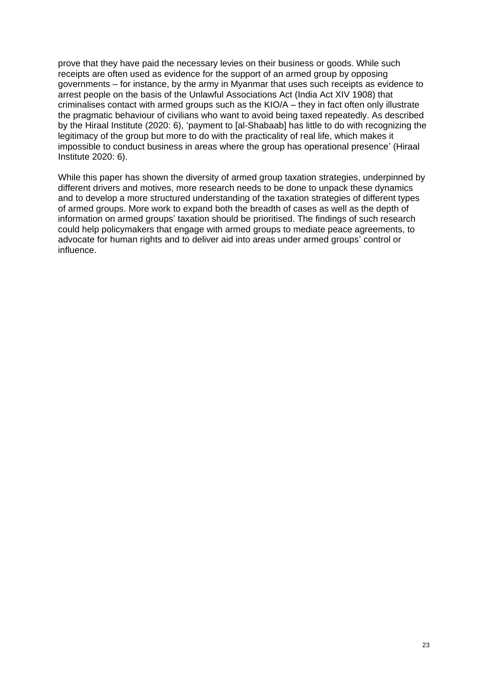prove that they have paid the necessary levies on their business or goods. While such receipts are often used as evidence for the support of an armed group by opposing governments – for instance, by the army in Myanmar that uses such receipts as evidence to arrest people on the basis of the Unlawful Associations Act (India Act XIV 1908) that criminalises contact with armed groups such as the KIO/A – they in fact often only illustrate the pragmatic behaviour of civilians who want to avoid being taxed repeatedly. As described by the Hiraal Institute (2020: 6), 'payment to [al-Shabaab] has little to do with recognizing the legitimacy of the group but more to do with the practicality of real life, which makes it impossible to conduct business in areas where the group has operational presence' (Hiraal Institute 2020: 6).

While this paper has shown the diversity of armed group taxation strategies, underpinned by different drivers and motives, more research needs to be done to unpack these dynamics and to develop a more structured understanding of the taxation strategies of different types of armed groups. More work to expand both the breadth of cases as well as the depth of information on armed groups' taxation should be prioritised. The findings of such research could help policymakers that engage with armed groups to mediate peace agreements, to advocate for human rights and to deliver aid into areas under armed groups' control or influence.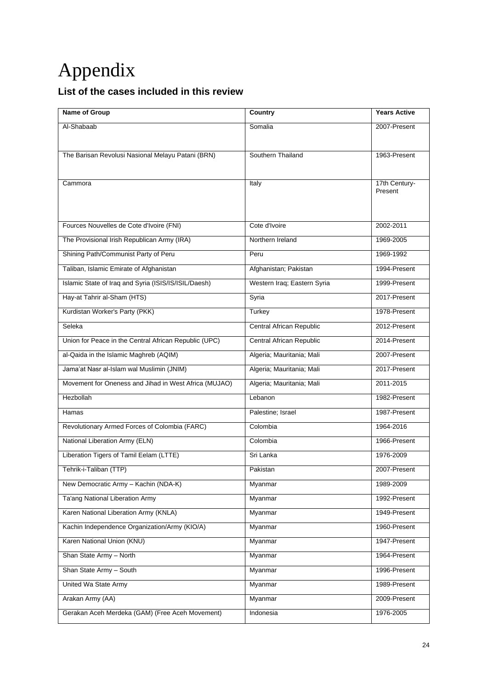# Appendix

#### **List of the cases included in this review**

| Name of Group                                         | <b>Country</b>                  | <b>Years Active</b> |
|-------------------------------------------------------|---------------------------------|---------------------|
| Al-Shabaab                                            | Somalia                         | 2007-Present        |
|                                                       |                                 |                     |
| The Barisan Revolusi Nasional Melayu Patani (BRN)     | Southern Thailand               | 1963-Present        |
|                                                       |                                 |                     |
| Cammora                                               | Italy                           | 17th Century-       |
|                                                       |                                 | Present             |
|                                                       |                                 |                     |
| Fources Nouvelles de Cote d'Ivoire (FNI)              | Cote d'Ivoire                   | 2002-2011           |
| The Provisional Irish Republican Army (IRA)           | Northern Ireland                | 1969-2005           |
| Shining Path/Communist Party of Peru                  | Peru                            | 1969-1992           |
| Taliban, Islamic Emirate of Afghanistan               | Afghanistan; Pakistan           | 1994-Present        |
| Islamic State of Iraq and Syria (ISIS/IS/ISIL/Daesh)  | Western Iraq; Eastern Syria     | 1999-Present        |
| Hay-at Tahrir al-Sham (HTS)                           | Syria                           | 2017-Present        |
| Kurdistan Worker's Party (PKK)                        | Turkey                          | 1978-Present        |
| Seleka                                                | <b>Central African Republic</b> | 2012-Present        |
| Union for Peace in the Central African Republic (UPC) | <b>Central African Republic</b> | 2014-Present        |
| al-Qaida in the Islamic Maghreb (AQIM)                | Algeria; Mauritania; Mali       | 2007-Present        |
| Jama'at Nasr al-Islam wal Muslimin (JNIM)             | Algeria; Mauritania; Mali       | 2017-Present        |
| Movement for Oneness and Jihad in West Africa (MUJAO) | Algeria; Mauritania; Mali       | 2011-2015           |
| Hezbollah                                             | Lebanon                         | 1982-Present        |
| Hamas                                                 | Palestine; Israel               | 1987-Present        |
| Revolutionary Armed Forces of Colombia (FARC)         | Colombia                        | 1964-2016           |
| National Liberation Army (ELN)                        | Colombia                        | 1966-Present        |
| Liberation Tigers of Tamil Eelam (LTTE)               | Sri Lanka                       | 1976-2009           |
| Tehrik-i-Taliban (TTP)                                | Pakistan                        | 2007-Present        |
| New Democratic Army - Kachin (NDA-K)                  | Myanmar                         | 1989-2009           |
| Ta'ang National Liberation Army                       | Myanmar                         | 1992-Present        |
| Karen National Liberation Army (KNLA)                 | Myanmar                         | 1949-Present        |
| Kachin Independence Organization/Army (KIO/A)         | Myanmar                         | 1960-Present        |
| Karen National Union (KNU)                            | Myanmar                         | 1947-Present        |
| Shan State Army - North                               | Myanmar                         | 1964-Present        |
| Shan State Army - South                               | Myanmar                         | 1996-Present        |
| United Wa State Army                                  | Myanmar                         | 1989-Present        |
| Arakan Army (AA)                                      | Myanmar                         | 2009-Present        |
| Gerakan Aceh Merdeka (GAM) (Free Aceh Movement)       | Indonesia                       | 1976-2005           |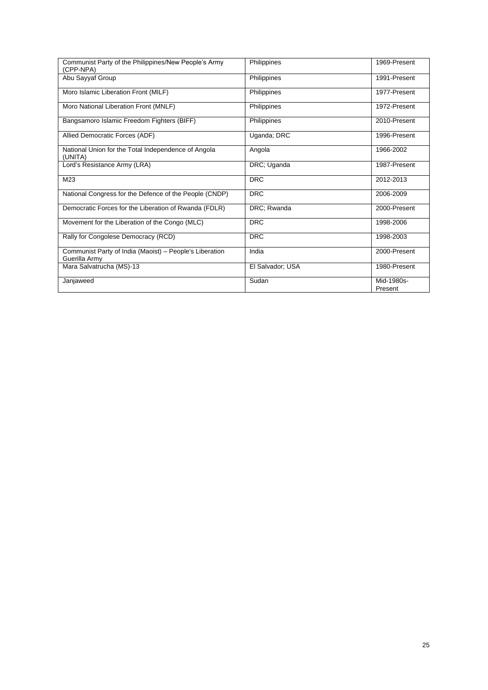| Communist Party of the Philippines/New People's Army<br>(CPP-NPA)        | Philippines      | 1969-Present          |
|--------------------------------------------------------------------------|------------------|-----------------------|
| Abu Sayyaf Group                                                         | Philippines      | 1991-Present          |
| Moro Islamic Liberation Front (MILF)                                     | Philippines      | 1977-Present          |
| Moro National Liberation Front (MNLF)                                    | Philippines      | 1972-Present          |
| Bangsamoro Islamic Freedom Fighters (BIFF)                               | Philippines      | 2010-Present          |
| Allied Democratic Forces (ADF)                                           | Uganda; DRC      | 1996-Present          |
| National Union for the Total Independence of Angola<br>(UNITA)           | Angola           | 1966-2002             |
| Lord's Resistance Army (LRA)                                             | DRC; Uganda      | 1987-Present          |
| M23                                                                      | <b>DRC</b>       | 2012-2013             |
| National Congress for the Defence of the People (CNDP)                   | <b>DRC</b>       | 2006-2009             |
| Democratic Forces for the Liberation of Rwanda (FDLR)                    | DRC; Rwanda      | 2000-Present          |
| Movement for the Liberation of the Congo (MLC)                           | <b>DRC</b>       | 1998-2006             |
| Rally for Congolese Democracy (RCD)                                      | <b>DRC</b>       | 1998-2003             |
| Communist Party of India (Maoist) - People's Liberation<br>Guerilla Army | India            | 2000-Present          |
| Mara Salvatrucha (MS)-13                                                 | El Salvador; USA | 1980-Present          |
| Janjaweed                                                                | Sudan            | Mid-1980s-<br>Present |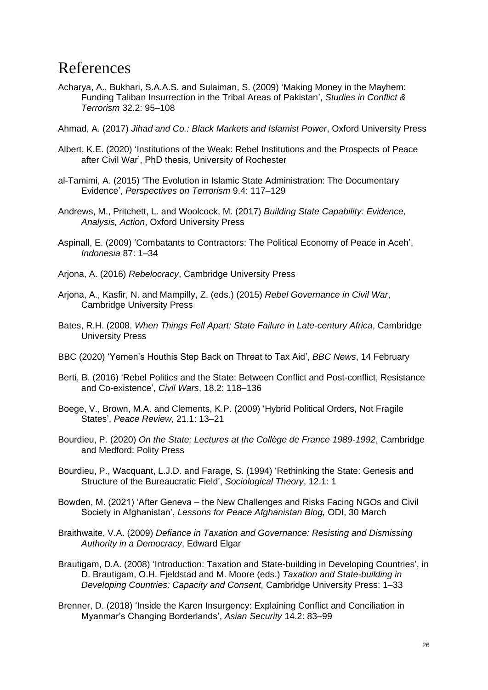### References

- Acharya, A., Bukhari, S.A.A.S. and Sulaiman, S. (2009) 'Making Money in the Mayhem: Funding Taliban Insurrection in the Tribal Areas of Pakistan', *Studies in Conflict & Terrorism* 32.2: 95–108
- Ahmad, A. (2017) *Jihad and Co.: Black Markets and Islamist Power*, Oxford University Press
- Albert, K.E. (2020) 'Institutions of the Weak: Rebel Institutions and the Prospects of Peace after Civil War', PhD thesis, University of Rochester
- al-Tamimi, A. (2015) 'The Evolution in Islamic State Administration: The Documentary Evidence', *Perspectives on Terrorism* 9.4: 117–129
- Andrews, M., Pritchett, L. and Woolcock, M. (2017) *Building State Capability: Evidence, Analysis, Action*, Oxford University Press
- Aspinall, E. (2009) 'Combatants to Contractors: The Political Economy of Peace in Aceh', *Indonesia* 87: 1–34
- Arjona, A. (2016) *Rebelocracy*, Cambridge University Press
- Arjona, A., Kasfir, N. and Mampilly, Z. (eds.) (2015) *Rebel Governance in Civil War*, Cambridge University Press
- Bates, R.H. (2008. *When Things Fell Apart: State Failure in Late-century Africa*, Cambridge University Press
- BBC (2020) 'Yemen's Houthis Step Back on Threat to Tax Aid', *BBC News*, 14 February
- Berti, B. (2016) 'Rebel Politics and the State: Between Conflict and Post-conflict, Resistance and Co-existence', *Civil Wars*, 18.2: 118–136
- Boege, V., Brown, M.A. and Clements, K.P. (2009) 'Hybrid Political Orders, Not Fragile States', *Peace Review*, 21.1: 13–21
- Bourdieu, P. (2020) *On the State: Lectures at the Collège de France 1989-1992*, Cambridge and Medford: Polity Press
- Bourdieu, P., Wacquant, L.J.D. and Farage, S. (1994) 'Rethinking the State: Genesis and Structure of the Bureaucratic Field', *Sociological Theory*, 12.1: 1
- Bowden, M. (2021) 'After Geneva the New Challenges and Risks Facing NGOs and Civil Society in Afghanistan', *Lessons for Peace Afghanistan Blog,* ODI, 30 March
- Braithwaite, V.A. (2009) *Defiance in Taxation and Governance: Resisting and Dismissing Authority in a Democracy*, Edward Elgar
- Brautigam, D.A. (2008) 'Introduction: Taxation and State-building in Developing Countries', in D. Brautigam, O.H. Fjeldstad and M. Moore (eds.) *Taxation and State-building in Developing Countries: Capacity and Consent,* Cambridge University Press: 1–33
- Brenner, D. (2018) 'Inside the Karen Insurgency: Explaining Conflict and Conciliation in Myanmar's Changing Borderlands', *Asian Security* 14.2: 83–99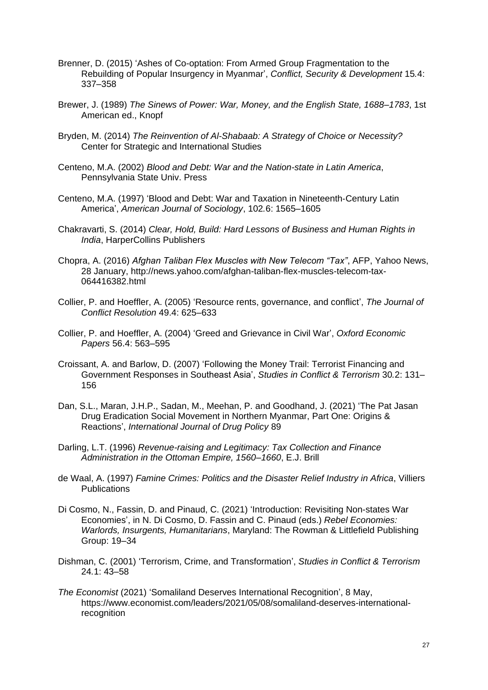- Brenner, D. (2015) 'Ashes of Co-optation: From Armed Group Fragmentation to the Rebuilding of Popular Insurgency in Myanmar', *Conflict, Security & Development* 15*.*4: 337–358
- Brewer, J. (1989) *The Sinews of Power: War, Money, and the English State, 1688*–*1783*, 1st American ed., Knopf
- Bryden, M. (2014) *The Reinvention of Al-Shabaab: A Strategy of Choice or Necessity?* Center for Strategic and International Studies
- Centeno, M.A. (2002) *Blood and Debt: War and the Nation-state in Latin America*, Pennsylvania State Univ. Press
- Centeno, M.A. (1997) 'Blood and Debt: War and Taxation in Nineteenth‐Century Latin America', *American Journal of Sociology*, 102*.*6: 1565–1605
- Chakravarti, S. (2014) *Clear, Hold, Build: Hard Lessons of Business and Human Rights in India*, HarperCollins Publishers
- Chopra, A. (2016) *Afghan Taliban Flex Muscles with New Telecom "Tax"*, AFP, Yahoo News, 28 January, http://news.yahoo.com/afghan-taliban-flex-muscles-telecom-tax-064416382.html
- Collier, P. and Hoeffler, A. (2005) 'Resource rents, governance, and conflict', *The Journal of Conflict Resolution* 49.4: 625–633
- Collier, P. and Hoeffler, A. (2004) 'Greed and Grievance in Civil War', *Oxford Economic Papers* 56.4: 563–595
- Croissant, A. and Barlow, D. (2007) 'Following the Money Trail: Terrorist Financing and Government Responses in Southeast Asia', *Studies in Conflict & Terrorism* 30*.*2: 131– 156
- Dan, S.L., Maran, J.H.P., Sadan, M., Meehan, P. and Goodhand, J. (2021) 'The Pat Jasan Drug Eradication Social Movement in Northern Myanmar, Part One: Origins & Reactions', *International Journal of Drug Policy* 89
- Darling, L.T. (1996) *Revenue-raising and Legitimacy: Tax Collection and Finance Administration in the Ottoman Empire, 1560*–*1660*, E.J. Brill
- de Waal, A. (1997) *Famine Crimes: Politics and the Disaster Relief Industry in Africa*, Villiers **Publications**
- Di Cosmo, N., Fassin, D. and Pinaud, C. (2021) 'Introduction: Revisiting Non-states War Economies', in N. Di Cosmo, D. Fassin and C. Pinaud (eds.) *Rebel Economies: Warlords, Insurgents, Humanitarians*, Maryland: The Rowman & Littlefield Publishing Group: 19–34
- Dishman, C. (2001) 'Terrorism, Crime, and Transformation', *Studies in Conflict & Terrorism* 24*.*1: 43–58
- *The Economist* (2021) 'Somaliland Deserves International Recognition', 8 May, https://www.economist.com/leaders/2021/05/08/somaliland-deserves-internationalrecognition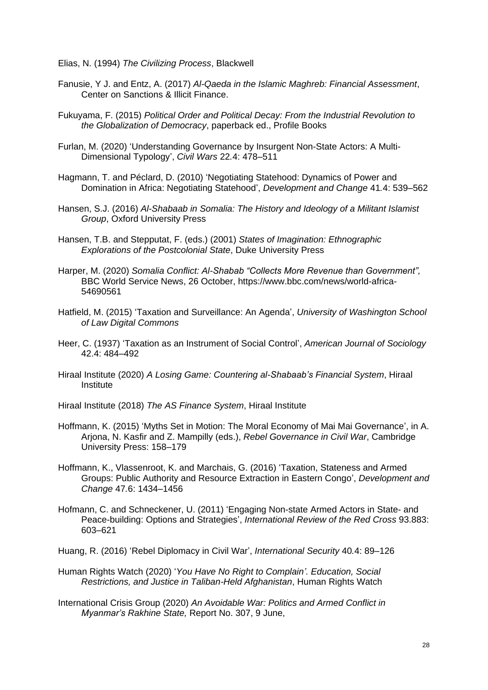Elias, N. (1994) *The Civilizing Process*, Blackwell

- Fanusie, Y J. and Entz, A. (2017) *Al-Qaeda in the Islamic Maghreb: Financial Assessment*, Center on Sanctions & Illicit Finance.
- Fukuyama, F. (2015) *Political Order and Political Decay: From the Industrial Revolution to the Globalization of Democracy*, paperback ed., Profile Books
- Furlan, M. (2020) 'Understanding Governance by Insurgent Non-State Actors: A Multi-Dimensional Typology', *Civil Wars* 22*.*4: 478–511
- Hagmann, T. and Péclard, D. (2010) 'Negotiating Statehood: Dynamics of Power and Domination in Africa: Negotiating Statehood', *Development and Change* 41*.*4: 539–562
- Hansen, S.J. (2016) *Al-Shabaab in Somalia: The History and Ideology of a Militant Islamist Group*, Oxford University Press
- Hansen, T.B. and Stepputat, F. (eds.) (2001) *States of Imagination: Ethnographic Explorations of the Postcolonial State*, Duke University Press
- Harper, M. (2020) *Somalia Conflict: Al-Shabab "Collects More Revenue than Government",* BBC World Service News, 26 October, https://www.bbc.com/news/world-africa-54690561
- Hatfield, M. (2015) 'Taxation and Surveillance: An Agenda', *University of Washington School of Law Digital Commons*
- Heer, C. (1937) 'Taxation as an Instrument of Social Control', *American Journal of Sociology* 42.4: 484–492
- Hiraal Institute (2020) *A Losing Game: Countering al-Shabaab's Financial System*, Hiraal **Institute**
- Hiraal Institute (2018) *The AS Finance System*, Hiraal Institute
- Hoffmann, K. (2015) 'Myths Set in Motion: The Moral Economy of Mai Mai Governance', in A. Arjona, N. Kasfir and Z. Mampilly (eds.), *Rebel Governance in Civil War*, Cambridge University Press: 158–179
- Hoffmann, K., Vlassenroot, K. and Marchais, G. (2016) 'Taxation, Stateness and Armed Groups: Public Authority and Resource Extraction in Eastern Congo', *Development and Change* 47*.*6: 1434–1456
- Hofmann, C. and Schneckener, U. (2011) 'Engaging Non-state Armed Actors in State- and Peace-building: Options and Strategies', *International Review of the Red Cross* 93.883: 603–621
- Huang, R. (2016) 'Rebel Diplomacy in Civil War', *International Security* 40*.*4: 89–126
- Human Rights Watch (2020) '*You Have No Right to Complain'. Education, Social Restrictions, and Justice in Taliban-Held Afghanistan*, Human Rights Watch
- International Crisis Group (2020) *An Avoidable War: Politics and Armed Conflict in Myanmar's Rakhine State,* Report No. 307, 9 June,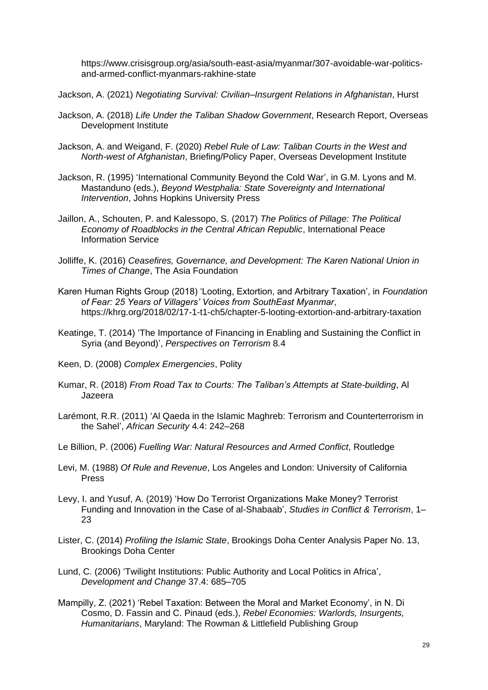https://www.crisisgroup.org/asia/south-east-asia/myanmar/307-avoidable-war-politicsand-armed-conflict-myanmars-rakhine-state

Jackson, A. (2021) *Negotiating Survival: Civilian–Insurgent Relations in Afghanistan*, Hurst

- Jackson, A. (2018) *Life Under the Taliban Shadow Government*, Research Report, Overseas Development Institute
- Jackson, A. and Weigand, F. (2020) *Rebel Rule of Law: Taliban Courts in the West and North-west of Afghanistan*, Briefing/Policy Paper, Overseas Development Institute
- Jackson, R. (1995) 'International Community Beyond the Cold War', in G.M. Lyons and M. Mastanduno (eds.), *Beyond Westphalia: State Sovereignty and International Intervention*, Johns Hopkins University Press
- Jaillon, A., Schouten, P. and Kalessopo, S. (2017) *The Politics of Pillage: The Political Economy of Roadblocks in the Central African Republic*, International Peace Information Service
- Jolliffe, K. (2016) *Ceasefires, Governance, and Development: The Karen National Union in Times of Change*, The Asia Foundation
- Karen Human Rights Group (2018) 'Looting, Extortion, and Arbitrary Taxation', in *Foundation of Fear: 25 Years of Villagers' Voices from SouthEast Myanmar*, https://khrg.org/2018/02/17-1-t1-ch5/chapter-5-looting-extortion-and-arbitrary-taxation
- Keatinge, T. (2014) 'The Importance of Financing in Enabling and Sustaining the Conflict in Syria (and Beyond)', *Perspectives on Terrorism* 8*.*4
- Keen, D. (2008) *Complex Emergencies*, Polity
- Kumar, R. (2018) *From Road Tax to Courts: The Taliban's Attempts at State-building*, Al Jazeera
- Larémont, R.R. (2011) 'Al Qaeda in the Islamic Maghreb: Terrorism and Counterterrorism in the Sahel', *African Security* 4*.*4: 242–268
- Le Billion, P. (2006) *Fuelling War: Natural Resources and Armed Conflict*, Routledge
- Levi, M. (1988) *Of Rule and Revenue*, Los Angeles and London: University of California Press
- Levy, I. and Yusuf, A. (2019) 'How Do Terrorist Organizations Make Money? Terrorist Funding and Innovation in the Case of al-Shabaab', *Studies in Conflict & Terrorism*, 1– 23
- Lister, C. (2014) *Profiling the Islamic State*, Brookings Doha Center Analysis Paper No. 13, Brookings Doha Center
- Lund, C. (2006) 'Twilight Institutions: Public Authority and Local Politics in Africa', *Development and Change* 37.4: 685–705
- Mampilly, Z. (2021) 'Rebel Taxation: Between the Moral and Market Economy', in N. Di Cosmo, D. Fassin and C. Pinaud (eds.), *Rebel Economies: Warlords, Insurgents, Humanitarians*, Maryland: The Rowman & Littlefield Publishing Group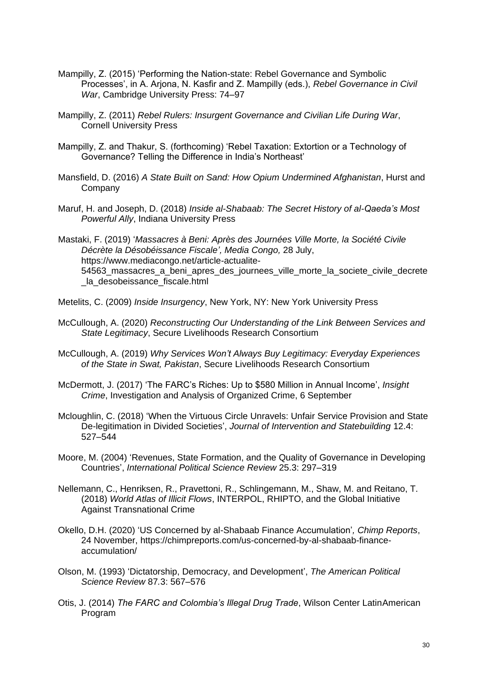- Mampilly, Z. (2015) 'Performing the Nation-state: Rebel Governance and Symbolic Processes', in A. Arjona, N. Kasfir and Z. Mampilly (eds.), *Rebel Governance in Civil War*, Cambridge University Press: 74–97
- Mampilly, Z. (2011) *Rebel Rulers: Insurgent Governance and Civilian Life During War*, Cornell University Press
- Mampilly, Z. and Thakur, S. (forthcoming) 'Rebel Taxation: Extortion or a Technology of Governance? Telling the Difference in India's Northeast'
- Mansfield, D. (2016) *A State Built on Sand: How Opium Undermined Afghanistan*, Hurst and Company
- Maruf, H. and Joseph, D. (2018) *Inside al-Shabaab: The Secret History of al-Qaeda's Most Powerful Ally*, Indiana University Press
- Mastaki, F. (2019) '*Massacres à Beni: Après des Journées Ville Morte, la Société Civile Décrète la Désobéissance Fiscale', Media Congo,* 28 July, https://www.mediacongo.net/article-actualite-54563\_massacres\_a\_beni\_apres\_des\_journees\_ville\_morte\_la\_societe\_civile\_decrete \_la\_desobeissance\_fiscale.html
- Metelits, C. (2009) *Inside Insurgency*, New York, NY: New York University Press
- McCullough, A. (2020) *Reconstructing Our Understanding of the Link Between Services and State Legitimacy*, Secure Livelihoods Research Consortium
- McCullough, A. (2019) *Why Services Won't Always Buy Legitimacy: Everyday Experiences of the State in Swat, Pakistan*, Secure Livelihoods Research Consortium
- McDermott, J. (2017) 'The FARC's Riches: Up to \$580 Million in Annual Income', *Insight Crime*, Investigation and Analysis of Organized Crime, 6 September
- Mcloughlin, C. (2018) 'When the Virtuous Circle Unravels: Unfair Service Provision and State De-legitimation in Divided Societies', *Journal of Intervention and Statebuilding* 12.4: 527–544
- Moore, M. (2004) 'Revenues, State Formation, and the Quality of Governance in Developing Countries', *International Political Science Review* 25.3: 297–319
- Nellemann, C., Henriksen, R., Pravettoni, R., Schlingemann, M., Shaw, M. and Reitano, T. (2018) *World Atlas of Illicit Flows*, INTERPOL, RHIPTO, and the Global Initiative Against Transnational Crime
- Okello, D.H. (2020) 'US Concerned by al-Shabaab Finance Accumulation'*, Chimp Reports*, 24 November, https://chimpreports.com/us-concerned-by-al-shabaab-financeaccumulation/
- Olson, M. (1993) 'Dictatorship, Democracy, and Development', *The American Political Science Review* 87*.*3: 567–576
- Otis, J. (2014) *The FARC and Colombia's Illegal Drug Trade*, Wilson Center LatinAmerican Program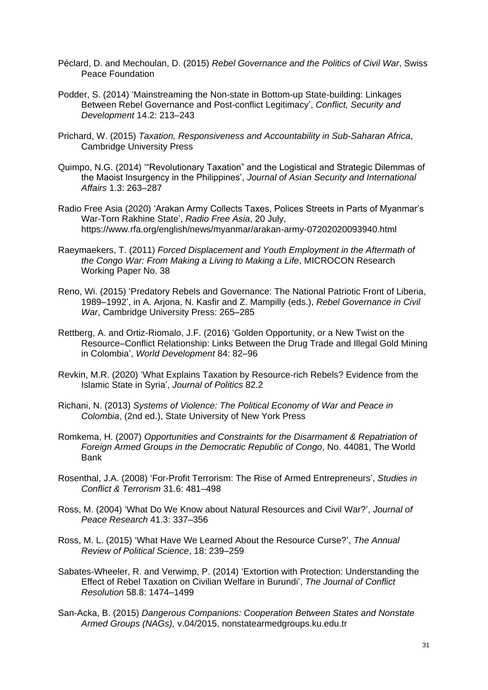- Péclard, D. and Mechoulan, D. (2015) *Rebel Governance and the Politics of Civil War*, Swiss Peace Foundation
- Podder, S. (2014) 'Mainstreaming the Non-state in Bottom-up State-building: Linkages Between Rebel Governance and Post-conflict Legitimacy', *Conflict, Security and Development* 14.2: 213–243
- Prichard, W. (2015) *Taxation, Responsiveness and Accountability in Sub-Saharan Africa*, Cambridge University Press
- Quimpo, N.G. (2014) '"Revolutionary Taxation" and the Logistical and Strategic Dilemmas of the Maoist Insurgency in the Philippines', *Journal of Asian Security and International Affairs* 1.3: 263–287
- Radio Free Asia (2020) 'Arakan Army Collects Taxes, Polices Streets in Parts of Myanmar's War-Torn Rakhine State', *Radio Free Asia*, 20 July, https://www.rfa.org/english/news/myanmar/arakan-army-07202020093940.html
- Raeymaekers, T. (2011) *Forced Displacement and Youth Employment in the Aftermath of the Congo War: From Making a Living to Making a Life*, MICROCON Research Working Paper No. 38
- Reno, Wi. (2015) 'Predatory Rebels and Governance: The National Patriotic Front of Liberia, 1989–1992', in A. Arjona, N. Kasfir and Z. Mampilly (eds.), *Rebel Governance in Civil War*, Cambridge University Press: 265–285
- Rettberg, A. and Ortiz-Riomalo, J.F. (2016) 'Golden Opportunity, or a New Twist on the Resource–Conflict Relationship: Links Between the Drug Trade and Illegal Gold Mining in Colombia', *World Development* 84: 82–96
- Revkin, M.R. (2020) 'What Explains Taxation by Resource-rich Rebels? Evidence from the Islamic State in Syria', *Journal of Politics* 82.2
- Richani, N. (2013) *Systems of Violence: The Political Economy of War and Peace in Colombia*, (2nd ed.), State University of New York Press
- Romkema, H. (2007) *Opportunities and Constraints for the Disarmament & Repatriation of Foreign Armed Groups in the Democratic Republic of Congo*, No. 44081, The World Bank
- Rosenthal, J.A. (2008) 'For-Profit Terrorism: The Rise of Armed Entrepreneurs', *Studies in Conflict & Terrorism* 31*.*6: 481–498
- Ross, M. (2004) 'What Do We Know about Natural Resources and Civil War?', *Journal of Peace Research* 41.3: 337–356
- Ross, M. L. (2015) 'What Have We Learned About the Resource Curse?', *The Annual Review of Political Science*, 18: 239–259
- Sabates-Wheeler, R. and Verwimp, P. (2014) 'Extortion with Protection: Understanding the Effect of Rebel Taxation on Civilian Welfare in Burundi', *The Journal of Conflict Resolution* 58.8: 1474–1499
- San-Acka, B. (2015) *Dangerous Companions: Cooperation Between States and Nonstate Armed Groups (NAGs),* v.04/2015, nonstatearmedgroups.ku.edu.tr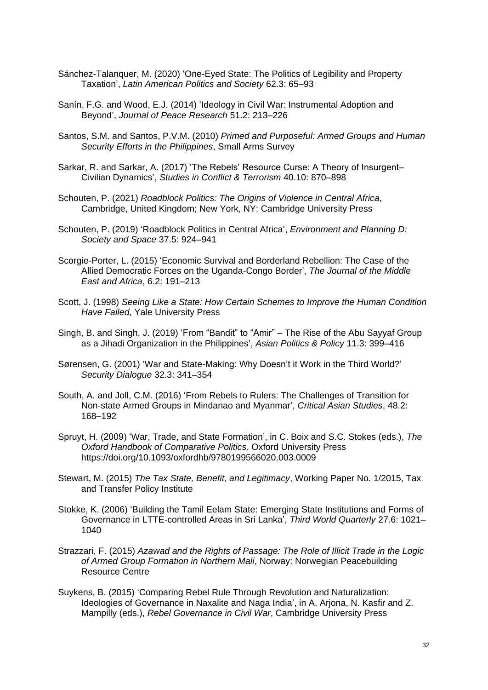- Sánchez-Talanquer, M. (2020) 'One-Eyed State: The Politics of Legibility and Property Taxation', *Latin American Politics and Society* 62.3: 65–93
- Sanín, F.G. and Wood, E.J. (2014) 'Ideology in Civil War: Instrumental Adoption and Beyond', *Journal of Peace Research* 51.2: 213–226
- Santos, S.M. and Santos, P.V.M. (2010) *Primed and Purposeful: Armed Groups and Human Security Efforts in the Philippines*, Small Arms Survey
- Sarkar, R. and Sarkar, A. (2017) 'The Rebels' Resource Curse: A Theory of Insurgent– Civilian Dynamics', *Studies in Conflict & Terrorism* 40.10: 870–898
- Schouten, P. (2021) *Roadblock Politics: The Origins of Violence in Central Africa*, Cambridge, United Kingdom; New York, NY: Cambridge University Press
- Schouten, P. (2019) 'Roadblock Politics in Central Africa', *Environment and Planning D: Society and Space* 37.5: 924–941
- Scorgie-Porter, L. (2015) 'Economic Survival and Borderland Rebellion: The Case of the Allied Democratic Forces on the Uganda-Congo Border', *The Journal of the Middle East and Africa*, 6.2: 191–213
- Scott, J. (1998) *Seeing Like a State: How Certain Schemes to Improve the Human Condition Have Failed*, Yale University Press
- Singh, B. and Singh, J. (2019) 'From "Bandit" to "Amir" The Rise of the Abu Sayyaf Group as a Jihadi Organization in the Philippines', *Asian Politics & Policy* 11.3: 399–416
- Sørensen, G. (2001) 'War and State-Making: Why Doesn't it Work in the Third World?' *Security Dialogue* 32.3: 341–354
- South, A. and Joll, C.M. (2016) 'From Rebels to Rulers: The Challenges of Transition for Non-state Armed Groups in Mindanao and Myanmar', *Critical Asian Studies*, 48.2: 168–192
- Spruyt, H. (2009) 'War, Trade, and State Formation', in C. Boix and S.C. Stokes (eds.), *The Oxford Handbook of Comparative Politics*, Oxford University Press https://doi.org/10.1093/oxfordhb/9780199566020.003.0009
- Stewart, M. (2015) *The Tax State, Benefit, and Legitimacy*, Working Paper No. 1/2015, Tax and Transfer Policy Institute
- Stokke, K. (2006) 'Building the Tamil Eelam State: Emerging State Institutions and Forms of Governance in LTTE-controlled Areas in Sri Lanka', *Third World Quarterly* 27.6: 1021– 1040
- Strazzari, F. (2015) *Azawad and the Rights of Passage: The Role of Illicit Trade in the Logic of Armed Group Formation in Northern Mali*, Norway: Norwegian Peacebuilding Resource Centre
- Suykens, B. (2015) 'Comparing Rebel Rule Through Revolution and Naturalization: Ideologies of Governance in Naxalite and Naga India', in A. Arjona, N. Kasfir and Z. Mampilly (eds.), *Rebel Governance in Civil War*, Cambridge University Press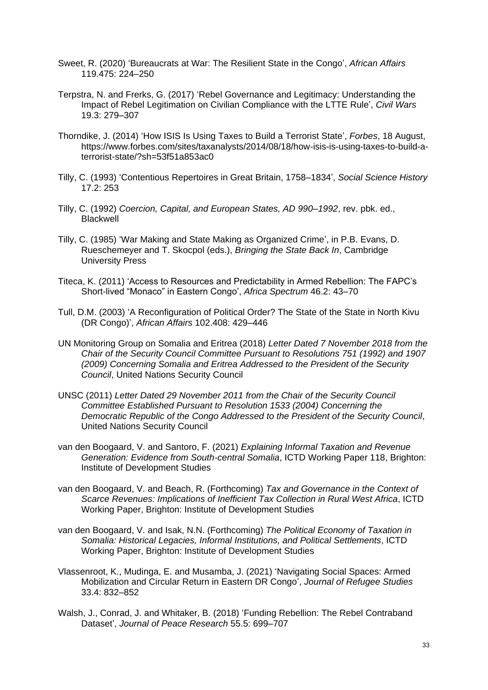- Sweet, R. (2020) 'Bureaucrats at War: The Resilient State in the Congo', *African Affairs* 119.475: 224–250
- Terpstra, N. and Frerks, G. (2017) 'Rebel Governance and Legitimacy: Understanding the Impact of Rebel Legitimation on Civilian Compliance with the LTTE Rule', *Civil Wars* 19.3: 279–307
- Thorndike, J. (2014) 'How ISIS Is Using Taxes to Build a Terrorist State', *Forbes*, 18 August, https://www.forbes.com/sites/taxanalysts/2014/08/18/how-isis-is-using-taxes-to-build-aterrorist-state/?sh=53f51a853ac0
- Tilly, C. (1993) 'Contentious Repertoires in Great Britain, 1758–1834', *Social Science History* 17.2: 253
- Tilly, C. (1992) *Coercion, Capital, and European States, AD 990–1992*, rev. pbk. ed., Blackwell
- Tilly, C. (1985) 'War Making and State Making as Organized Crime', in P.B. Evans, D. Rueschemeyer and T. Skocpol (eds.), *Bringing the State Back In*, Cambridge University Press
- Titeca, K. (2011) 'Access to Resources and Predictability in Armed Rebellion: The FAPC's Short-lived "Monaco" in Eastern Congo', *Africa Spectrum* 46.2: 43–70
- Tull, D.M. (2003) 'A Reconfiguration of Political Order? The State of the State in North Kivu (DR Congo)', *African Affairs* 102.408: 429–446
- UN Monitoring Group on Somalia and Eritrea (2018) *Letter Dated 7 November 2018 from the Chair of the Security Council Committee Pursuant to Resolutions 751 (1992) and 1907 (2009) Concerning Somalia and Eritrea Addressed to the President of the Security Council*, United Nations Security Council
- UNSC (2011) *Letter Dated 29 November 2011 from the Chair of the Security Council Committee Established Pursuant to Resolution 1533 (2004) Concerning the Democratic Republic of the Congo Addressed to the President of the Security Council*, United Nations Security Council
- van den Boogaard, V. and Santoro, F. (2021) *Explaining Informal Taxation and Revenue Generation: Evidence from South-central Somalia*, ICTD Working Paper 118, Brighton: Institute of Development Studies
- van den Boogaard, V. and Beach, R. (Forthcoming) *Tax and Governance in the Context of Scarce Revenues: Implications of Inefficient Tax Collection in Rural West Africa*, ICTD Working Paper, Brighton: Institute of Development Studies
- van den Boogaard, V. and Isak, N.N. (Forthcoming) *The Political Economy of Taxation in Somalia: Historical Legacies, Informal Institutions, and Political Settlements*, ICTD Working Paper, Brighton: Institute of Development Studies
- Vlassenroot, K., Mudinga, E. and Musamba, J. (2021) 'Navigating Social Spaces: Armed Mobilization and Circular Return in Eastern DR Congo', *Journal of Refugee Studies* 33.4: 832–852
- Walsh, J., Conrad, J. and Whitaker, B. (2018) 'Funding Rebellion: The Rebel Contraband Dataset', *Journal of Peace Research* 55.5: 699–707